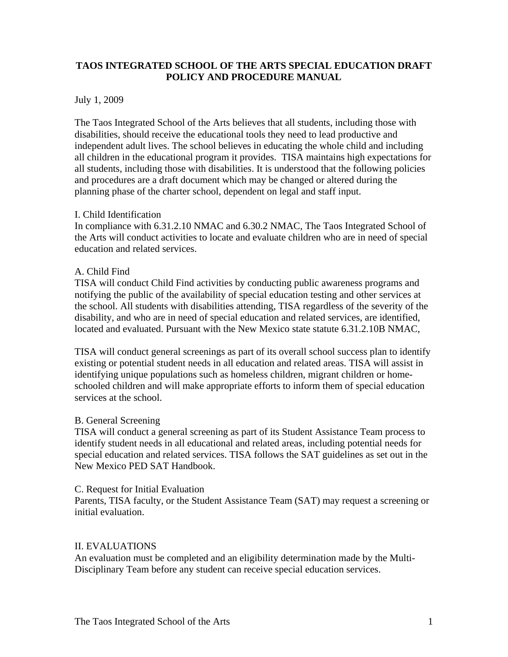# **TAOS INTEGRATED SCHOOL OF THE ARTS SPECIAL EDUCATION DRAFT POLICY AND PROCEDURE MANUAL**

### July 1, 2009

The Taos Integrated School of the Arts believes that all students, including those with disabilities, should receive the educational tools they need to lead productive and independent adult lives. The school believes in educating the whole child and including all children in the educational program it provides. TISA maintains high expectations for all students, including those with disabilities. It is understood that the following policies and procedures are a draft document which may be changed or altered during the planning phase of the charter school, dependent on legal and staff input.

### I. Child Identification

In compliance with 6.31.2.10 NMAC and 6.30.2 NMAC, The Taos Integrated School of the Arts will conduct activities to locate and evaluate children who are in need of special education and related services.

# A. Child Find

TISA will conduct Child Find activities by conducting public awareness programs and notifying the public of the availability of special education testing and other services at the school. All students with disabilities attending, TISA regardless of the severity of the disability, and who are in need of special education and related services, are identified, located and evaluated. Pursuant with the New Mexico state statute 6.31.2.10B NMAC,

TISA will conduct general screenings as part of its overall school success plan to identify existing or potential student needs in all education and related areas. TISA will assist in identifying unique populations such as homeless children, migrant children or homeschooled children and will make appropriate efforts to inform them of special education services at the school.

### B. General Screening

TISA will conduct a general screening as part of its Student Assistance Team process to identify student needs in all educational and related areas, including potential needs for special education and related services. TISA follows the SAT guidelines as set out in the New Mexico PED SAT Handbook.

### C. Request for Initial Evaluation

Parents, TISA faculty, or the Student Assistance Team (SAT) may request a screening or initial evaluation.

### II. EVALUATIONS

An evaluation must be completed and an eligibility determination made by the Multi-Disciplinary Team before any student can receive special education services.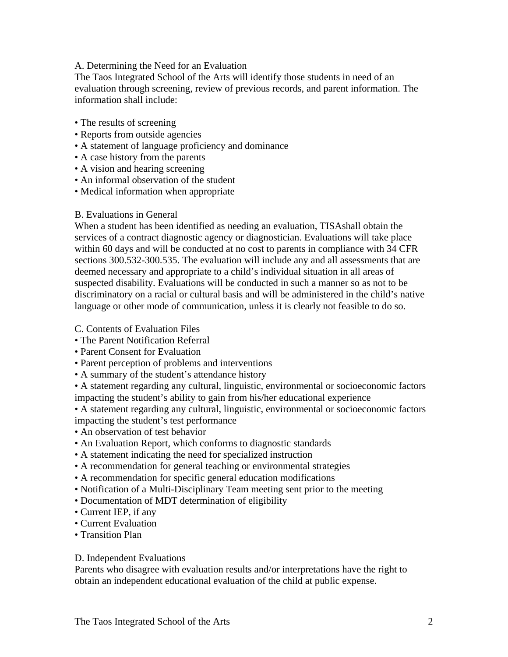### A. Determining the Need for an Evaluation

The Taos Integrated School of the Arts will identify those students in need of an evaluation through screening, review of previous records, and parent information. The information shall include:

- The results of screening
- Reports from outside agencies
- A statement of language proficiency and dominance
- A case history from the parents
- A vision and hearing screening
- An informal observation of the student
- Medical information when appropriate

### B. Evaluations in General

When a student has been identified as needing an evaluation, TISAshall obtain the services of a contract diagnostic agency or diagnostician. Evaluations will take place within 60 days and will be conducted at no cost to parents in compliance with 34 CFR sections 300.532-300.535. The evaluation will include any and all assessments that are deemed necessary and appropriate to a child's individual situation in all areas of suspected disability. Evaluations will be conducted in such a manner so as not to be discriminatory on a racial or cultural basis and will be administered in the child's native language or other mode of communication, unless it is clearly not feasible to do so.

### C. Contents of Evaluation Files

- The Parent Notification Referral
- Parent Consent for Evaluation
- Parent perception of problems and interventions
- A summary of the student's attendance history

• A statement regarding any cultural, linguistic, environmental or socioeconomic factors impacting the student's ability to gain from his/her educational experience

• A statement regarding any cultural, linguistic, environmental or socioeconomic factors impacting the student's test performance

- An observation of test behavior
- An Evaluation Report, which conforms to diagnostic standards
- A statement indicating the need for specialized instruction
- A recommendation for general teaching or environmental strategies
- A recommendation for specific general education modifications
- Notification of a Multi-Disciplinary Team meeting sent prior to the meeting
- Documentation of MDT determination of eligibility
- Current IEP, if any
- Current Evaluation
- Transition Plan

### D. Independent Evaluations

Parents who disagree with evaluation results and/or interpretations have the right to obtain an independent educational evaluation of the child at public expense.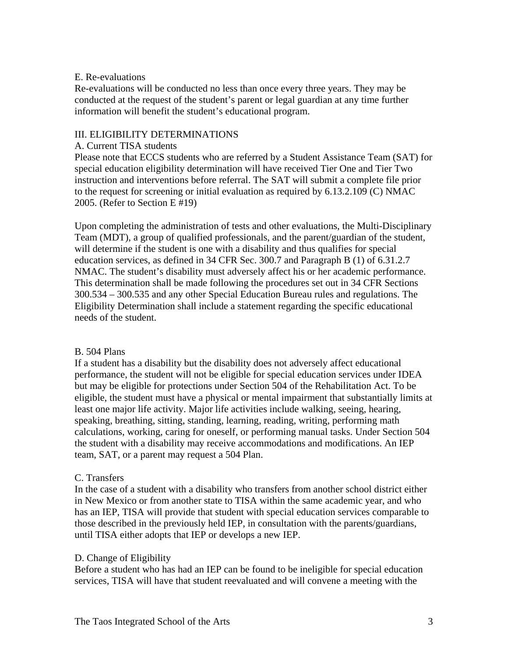### E. Re-evaluations

Re-evaluations will be conducted no less than once every three years. They may be conducted at the request of the student's parent or legal guardian at any time further information will benefit the student's educational program.

# III. ELIGIBILITY DETERMINATIONS

### A. Current TISA students

Please note that ECCS students who are referred by a Student Assistance Team (SAT) for special education eligibility determination will have received Tier One and Tier Two instruction and interventions before referral. The SAT will submit a complete file prior to the request for screening or initial evaluation as required by 6.13.2.109 (C) NMAC 2005. (Refer to Section E #19)

Upon completing the administration of tests and other evaluations, the Multi-Disciplinary Team (MDT), a group of qualified professionals, and the parent/guardian of the student, will determine if the student is one with a disability and thus qualifies for special education services, as defined in 34 CFR Sec. 300.7 and Paragraph B (1) of 6.31.2.7 NMAC. The student's disability must adversely affect his or her academic performance. This determination shall be made following the procedures set out in 34 CFR Sections 300.534 – 300.535 and any other Special Education Bureau rules and regulations. The Eligibility Determination shall include a statement regarding the specific educational needs of the student.

# B. 504 Plans

If a student has a disability but the disability does not adversely affect educational performance, the student will not be eligible for special education services under IDEA but may be eligible for protections under Section 504 of the Rehabilitation Act. To be eligible, the student must have a physical or mental impairment that substantially limits at least one major life activity. Major life activities include walking, seeing, hearing, speaking, breathing, sitting, standing, learning, reading, writing, performing math calculations, working, caring for oneself, or performing manual tasks. Under Section 504 the student with a disability may receive accommodations and modifications. An IEP team, SAT, or a parent may request a 504 Plan.

# C. Transfers

In the case of a student with a disability who transfers from another school district either in New Mexico or from another state to TISA within the same academic year, and who has an IEP, TISA will provide that student with special education services comparable to those described in the previously held IEP, in consultation with the parents/guardians, until TISA either adopts that IEP or develops a new IEP.

# D. Change of Eligibility

Before a student who has had an IEP can be found to be ineligible for special education services, TISA will have that student reevaluated and will convene a meeting with the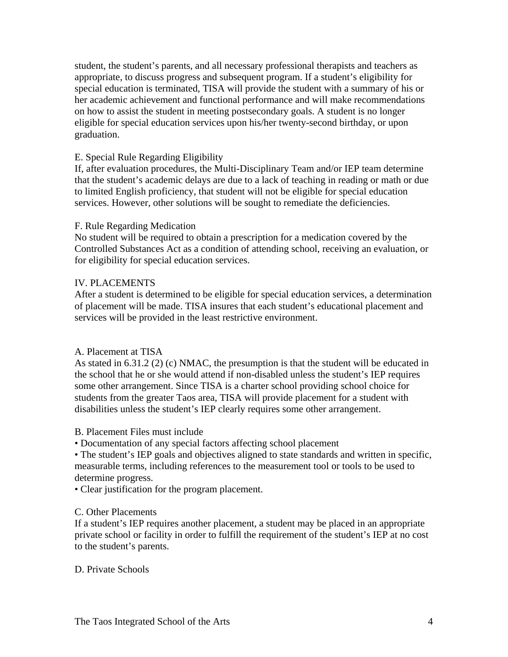student, the student's parents, and all necessary professional therapists and teachers as appropriate, to discuss progress and subsequent program. If a student's eligibility for special education is terminated, TISA will provide the student with a summary of his or her academic achievement and functional performance and will make recommendations on how to assist the student in meeting postsecondary goals. A student is no longer eligible for special education services upon his/her twenty-second birthday, or upon graduation.

### E. Special Rule Regarding Eligibility

If, after evaluation procedures, the Multi-Disciplinary Team and/or IEP team determine that the student's academic delays are due to a lack of teaching in reading or math or due to limited English proficiency, that student will not be eligible for special education services. However, other solutions will be sought to remediate the deficiencies.

### F. Rule Regarding Medication

No student will be required to obtain a prescription for a medication covered by the Controlled Substances Act as a condition of attending school, receiving an evaluation, or for eligibility for special education services.

### IV. PLACEMENTS

After a student is determined to be eligible for special education services, a determination of placement will be made. TISA insures that each student's educational placement and services will be provided in the least restrictive environment.

### A. Placement at TISA

As stated in 6.31.2 (2) (c) NMAC, the presumption is that the student will be educated in the school that he or she would attend if non-disabled unless the student's IEP requires some other arrangement. Since TISA is a charter school providing school choice for students from the greater Taos area, TISA will provide placement for a student with disabilities unless the student's IEP clearly requires some other arrangement.

- B. Placement Files must include
- Documentation of any special factors affecting school placement

• The student's IEP goals and objectives aligned to state standards and written in specific, measurable terms, including references to the measurement tool or tools to be used to determine progress.

• Clear justification for the program placement.

### C. Other Placements

If a student's IEP requires another placement, a student may be placed in an appropriate private school or facility in order to fulfill the requirement of the student's IEP at no cost to the student's parents.

### D. Private Schools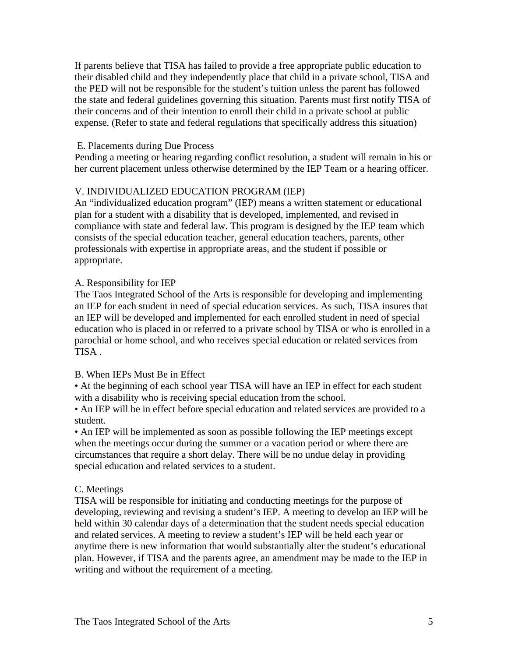If parents believe that TISA has failed to provide a free appropriate public education to their disabled child and they independently place that child in a private school, TISA and the PED will not be responsible for the student's tuition unless the parent has followed the state and federal guidelines governing this situation. Parents must first notify TISA of their concerns and of their intention to enroll their child in a private school at public expense. (Refer to state and federal regulations that specifically address this situation)

### E. Placements during Due Process

Pending a meeting or hearing regarding conflict resolution, a student will remain in his or her current placement unless otherwise determined by the IEP Team or a hearing officer.

# V. INDIVIDUALIZED EDUCATION PROGRAM (IEP)

An "individualized education program" (IEP) means a written statement or educational plan for a student with a disability that is developed, implemented, and revised in compliance with state and federal law. This program is designed by the IEP team which consists of the special education teacher, general education teachers, parents, other professionals with expertise in appropriate areas, and the student if possible or appropriate.

### A. Responsibility for IEP

The Taos Integrated School of the Arts is responsible for developing and implementing an IEP for each student in need of special education services. As such, TISA insures that an IEP will be developed and implemented for each enrolled student in need of special education who is placed in or referred to a private school by TISA or who is enrolled in a parochial or home school, and who receives special education or related services from TISA .

### B. When IEPs Must Be in Effect

• At the beginning of each school year TISA will have an IEP in effect for each student with a disability who is receiving special education from the school.

• An IEP will be in effect before special education and related services are provided to a student.

• An IEP will be implemented as soon as possible following the IEP meetings except when the meetings occur during the summer or a vacation period or where there are circumstances that require a short delay. There will be no undue delay in providing special education and related services to a student.

### C. Meetings

TISA will be responsible for initiating and conducting meetings for the purpose of developing, reviewing and revising a student's IEP. A meeting to develop an IEP will be held within 30 calendar days of a determination that the student needs special education and related services. A meeting to review a student's IEP will be held each year or anytime there is new information that would substantially alter the student's educational plan. However, if TISA and the parents agree, an amendment may be made to the IEP in writing and without the requirement of a meeting.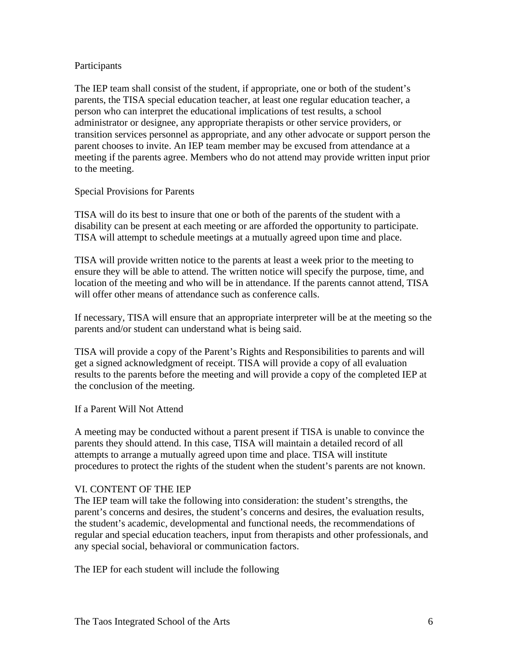### Participants

The IEP team shall consist of the student, if appropriate, one or both of the student's parents, the TISA special education teacher, at least one regular education teacher, a person who can interpret the educational implications of test results, a school administrator or designee, any appropriate therapists or other service providers, or transition services personnel as appropriate, and any other advocate or support person the parent chooses to invite. An IEP team member may be excused from attendance at a meeting if the parents agree. Members who do not attend may provide written input prior to the meeting.

### Special Provisions for Parents

TISA will do its best to insure that one or both of the parents of the student with a disability can be present at each meeting or are afforded the opportunity to participate. TISA will attempt to schedule meetings at a mutually agreed upon time and place.

TISA will provide written notice to the parents at least a week prior to the meeting to ensure they will be able to attend. The written notice will specify the purpose, time, and location of the meeting and who will be in attendance. If the parents cannot attend, TISA will offer other means of attendance such as conference calls.

If necessary, TISA will ensure that an appropriate interpreter will be at the meeting so the parents and/or student can understand what is being said.

TISA will provide a copy of the Parent's Rights and Responsibilities to parents and will get a signed acknowledgment of receipt. TISA will provide a copy of all evaluation results to the parents before the meeting and will provide a copy of the completed IEP at the conclusion of the meeting.

# If a Parent Will Not Attend

A meeting may be conducted without a parent present if TISA is unable to convince the parents they should attend. In this case, TISA will maintain a detailed record of all attempts to arrange a mutually agreed upon time and place. TISA will institute procedures to protect the rights of the student when the student's parents are not known.

### VI. CONTENT OF THE IEP

The IEP team will take the following into consideration: the student's strengths, the parent's concerns and desires, the student's concerns and desires, the evaluation results, the student's academic, developmental and functional needs, the recommendations of regular and special education teachers, input from therapists and other professionals, and any special social, behavioral or communication factors.

The IEP for each student will include the following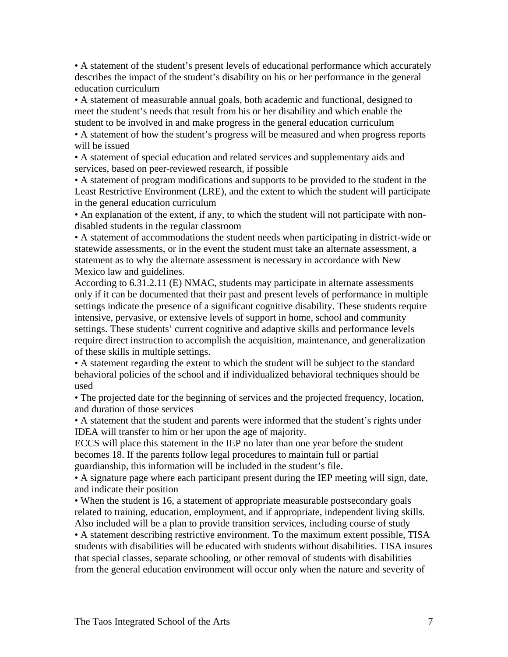• A statement of the student's present levels of educational performance which accurately describes the impact of the student's disability on his or her performance in the general education curriculum

• A statement of measurable annual goals, both academic and functional, designed to meet the student's needs that result from his or her disability and which enable the student to be involved in and make progress in the general education curriculum

• A statement of how the student's progress will be measured and when progress reports will be issued

• A statement of special education and related services and supplementary aids and services, based on peer-reviewed research, if possible

• A statement of program modifications and supports to be provided to the student in the Least Restrictive Environment (LRE), and the extent to which the student will participate in the general education curriculum

• An explanation of the extent, if any, to which the student will not participate with nondisabled students in the regular classroom

• A statement of accommodations the student needs when participating in district-wide or statewide assessments, or in the event the student must take an alternate assessment, a statement as to why the alternate assessment is necessary in accordance with New Mexico law and guidelines.

According to 6.31.2.11 (E) NMAC, students may participate in alternate assessments only if it can be documented that their past and present levels of performance in multiple settings indicate the presence of a significant cognitive disability. These students require intensive, pervasive, or extensive levels of support in home, school and community settings. These students' current cognitive and adaptive skills and performance levels require direct instruction to accomplish the acquisition, maintenance, and generalization of these skills in multiple settings.

• A statement regarding the extent to which the student will be subject to the standard behavioral policies of the school and if individualized behavioral techniques should be used

• The projected date for the beginning of services and the projected frequency, location, and duration of those services

• A statement that the student and parents were informed that the student's rights under IDEA will transfer to him or her upon the age of majority.

ECCS will place this statement in the IEP no later than one year before the student becomes 18. If the parents follow legal procedures to maintain full or partial guardianship, this information will be included in the student's file.

• A signature page where each participant present during the IEP meeting will sign, date, and indicate their position

• When the student is 16, a statement of appropriate measurable postsecondary goals related to training, education, employment, and if appropriate, independent living skills. Also included will be a plan to provide transition services, including course of study

• A statement describing restrictive environment. To the maximum extent possible, TISA students with disabilities will be educated with students without disabilities. TISA insures that special classes, separate schooling, or other removal of students with disabilities from the general education environment will occur only when the nature and severity of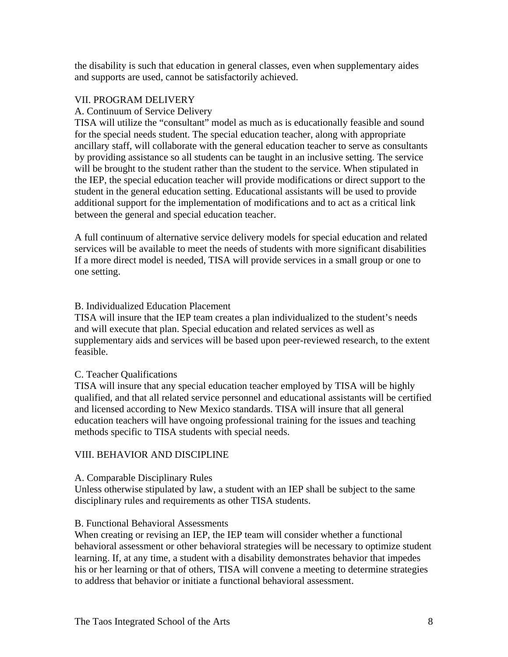the disability is such that education in general classes, even when supplementary aides and supports are used, cannot be satisfactorily achieved.

### VII. PROGRAM DELIVERY

### A. Continuum of Service Delivery

TISA will utilize the "consultant" model as much as is educationally feasible and sound for the special needs student. The special education teacher, along with appropriate ancillary staff, will collaborate with the general education teacher to serve as consultants by providing assistance so all students can be taught in an inclusive setting. The service will be brought to the student rather than the student to the service. When stipulated in the IEP, the special education teacher will provide modifications or direct support to the student in the general education setting. Educational assistants will be used to provide additional support for the implementation of modifications and to act as a critical link between the general and special education teacher.

A full continuum of alternative service delivery models for special education and related services will be available to meet the needs of students with more significant disabilities If a more direct model is needed, TISA will provide services in a small group or one to one setting.

### B. Individualized Education Placement

TISA will insure that the IEP team creates a plan individualized to the student's needs and will execute that plan. Special education and related services as well as supplementary aids and services will be based upon peer-reviewed research, to the extent feasible.

### C. Teacher Qualifications

TISA will insure that any special education teacher employed by TISA will be highly qualified, and that all related service personnel and educational assistants will be certified and licensed according to New Mexico standards. TISA will insure that all general education teachers will have ongoing professional training for the issues and teaching methods specific to TISA students with special needs.

# VIII. BEHAVIOR AND DISCIPLINE

### A. Comparable Disciplinary Rules

Unless otherwise stipulated by law, a student with an IEP shall be subject to the same disciplinary rules and requirements as other TISA students.

### B. Functional Behavioral Assessments

When creating or revising an IEP, the IEP team will consider whether a functional behavioral assessment or other behavioral strategies will be necessary to optimize student learning. If, at any time, a student with a disability demonstrates behavior that impedes his or her learning or that of others, TISA will convene a meeting to determine strategies to address that behavior or initiate a functional behavioral assessment.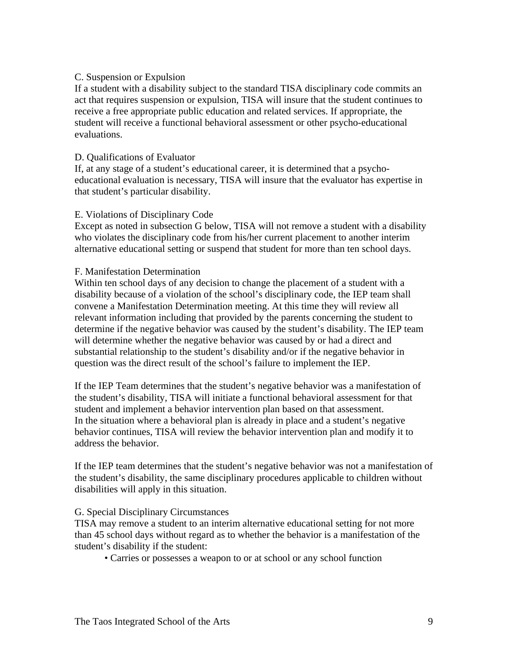### C. Suspension or Expulsion

If a student with a disability subject to the standard TISA disciplinary code commits an act that requires suspension or expulsion, TISA will insure that the student continues to receive a free appropriate public education and related services. If appropriate, the student will receive a functional behavioral assessment or other psycho-educational evaluations.

### D. Qualifications of Evaluator

If, at any stage of a student's educational career, it is determined that a psychoeducational evaluation is necessary, TISA will insure that the evaluator has expertise in that student's particular disability.

### E. Violations of Disciplinary Code

Except as noted in subsection G below, TISA will not remove a student with a disability who violates the disciplinary code from his/her current placement to another interim alternative educational setting or suspend that student for more than ten school days.

### F. Manifestation Determination

Within ten school days of any decision to change the placement of a student with a disability because of a violation of the school's disciplinary code, the IEP team shall convene a Manifestation Determination meeting. At this time they will review all relevant information including that provided by the parents concerning the student to determine if the negative behavior was caused by the student's disability. The IEP team will determine whether the negative behavior was caused by or had a direct and substantial relationship to the student's disability and/or if the negative behavior in question was the direct result of the school's failure to implement the IEP.

If the IEP Team determines that the student's negative behavior was a manifestation of the student's disability, TISA will initiate a functional behavioral assessment for that student and implement a behavior intervention plan based on that assessment. In the situation where a behavioral plan is already in place and a student's negative behavior continues, TISA will review the behavior intervention plan and modify it to address the behavior.

If the IEP team determines that the student's negative behavior was not a manifestation of the student's disability, the same disciplinary procedures applicable to children without disabilities will apply in this situation.

### G. Special Disciplinary Circumstances

TISA may remove a student to an interim alternative educational setting for not more than 45 school days without regard as to whether the behavior is a manifestation of the student's disability if the student:

• Carries or possesses a weapon to or at school or any school function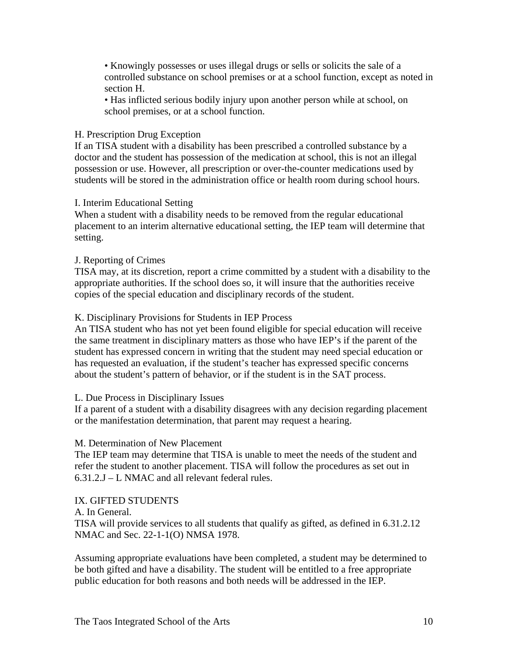• Knowingly possesses or uses illegal drugs or sells or solicits the sale of a controlled substance on school premises or at a school function, except as noted in section H.

• Has inflicted serious bodily injury upon another person while at school, on school premises, or at a school function.

### H. Prescription Drug Exception

If an TISA student with a disability has been prescribed a controlled substance by a doctor and the student has possession of the medication at school, this is not an illegal possession or use. However, all prescription or over-the-counter medications used by students will be stored in the administration office or health room during school hours.

### I. Interim Educational Setting

When a student with a disability needs to be removed from the regular educational placement to an interim alternative educational setting, the IEP team will determine that setting.

### J. Reporting of Crimes

TISA may, at its discretion, report a crime committed by a student with a disability to the appropriate authorities. If the school does so, it will insure that the authorities receive copies of the special education and disciplinary records of the student.

### K. Disciplinary Provisions for Students in IEP Process

An TISA student who has not yet been found eligible for special education will receive the same treatment in disciplinary matters as those who have IEP's if the parent of the student has expressed concern in writing that the student may need special education or has requested an evaluation, if the student's teacher has expressed specific concerns about the student's pattern of behavior, or if the student is in the SAT process.

### L. Due Process in Disciplinary Issues

If a parent of a student with a disability disagrees with any decision regarding placement or the manifestation determination, that parent may request a hearing.

### M. Determination of New Placement

The IEP team may determine that TISA is unable to meet the needs of the student and refer the student to another placement. TISA will follow the procedures as set out in 6.31.2.J – L NMAC and all relevant federal rules.

### IX. GIFTED STUDENTS

### A. In General.

TISA will provide services to all students that qualify as gifted, as defined in 6.31.2.12 NMAC and Sec. 22-1-1(O) NMSA 1978.

Assuming appropriate evaluations have been completed, a student may be determined to be both gifted and have a disability. The student will be entitled to a free appropriate public education for both reasons and both needs will be addressed in the IEP.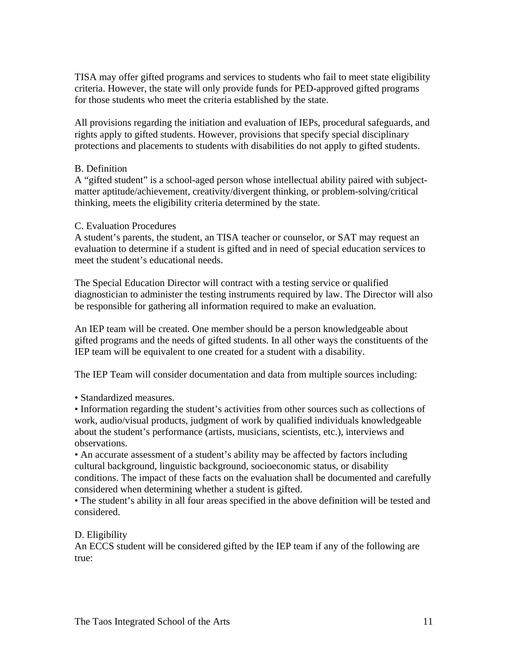TISA may offer gifted programs and services to students who fail to meet state eligibility criteria. However, the state will only provide funds for PED-approved gifted programs for those students who meet the criteria established by the state.

All provisions regarding the initiation and evaluation of IEPs, procedural safeguards, and rights apply to gifted students. However, provisions that specify special disciplinary protections and placements to students with disabilities do not apply to gifted students.

### B. Definition

A "gifted student" is a school-aged person whose intellectual ability paired with subjectmatter aptitude/achievement, creativity/divergent thinking, or problem-solving/critical thinking, meets the eligibility criteria determined by the state.

### C. Evaluation Procedures

A student's parents, the student, an TISA teacher or counselor, or SAT may request an evaluation to determine if a student is gifted and in need of special education services to meet the student's educational needs.

The Special Education Director will contract with a testing service or qualified diagnostician to administer the testing instruments required by law. The Director will also be responsible for gathering all information required to make an evaluation.

An IEP team will be created. One member should be a person knowledgeable about gifted programs and the needs of gifted students. In all other ways the constituents of the IEP team will be equivalent to one created for a student with a disability.

The IEP Team will consider documentation and data from multiple sources including:

• Standardized measures.

• Information regarding the student's activities from other sources such as collections of work, audio/visual products, judgment of work by qualified individuals knowledgeable about the student's performance (artists, musicians, scientists, etc.), interviews and observations.

• An accurate assessment of a student's ability may be affected by factors including cultural background, linguistic background, socioeconomic status, or disability conditions. The impact of these facts on the evaluation shall be documented and carefully considered when determining whether a student is gifted.

• The student's ability in all four areas specified in the above definition will be tested and considered.

### D. Eligibility

An ECCS student will be considered gifted by the IEP team if any of the following are true: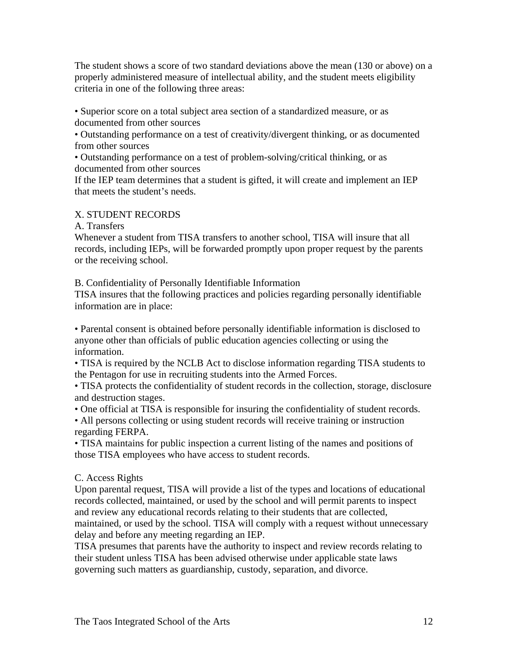The student shows a score of two standard deviations above the mean (130 or above) on a properly administered measure of intellectual ability, and the student meets eligibility criteria in one of the following three areas:

• Superior score on a total subject area section of a standardized measure, or as documented from other sources

• Outstanding performance on a test of creativity/divergent thinking, or as documented from other sources

• Outstanding performance on a test of problem-solving/critical thinking, or as documented from other sources

If the IEP team determines that a student is gifted, it will create and implement an IEP that meets the student's needs.

# X. STUDENT RECORDS

A. Transfers

Whenever a student from TISA transfers to another school, TISA will insure that all records, including IEPs, will be forwarded promptly upon proper request by the parents or the receiving school.

B. Confidentiality of Personally Identifiable Information

TISA insures that the following practices and policies regarding personally identifiable information are in place:

• Parental consent is obtained before personally identifiable information is disclosed to anyone other than officials of public education agencies collecting or using the information.

• TISA is required by the NCLB Act to disclose information regarding TISA students to the Pentagon for use in recruiting students into the Armed Forces.

• TISA protects the confidentiality of student records in the collection, storage, disclosure and destruction stages.

• One official at TISA is responsible for insuring the confidentiality of student records.

• All persons collecting or using student records will receive training or instruction regarding FERPA.

• TISA maintains for public inspection a current listing of the names and positions of those TISA employees who have access to student records.

# C. Access Rights

Upon parental request, TISA will provide a list of the types and locations of educational records collected, maintained, or used by the school and will permit parents to inspect and review any educational records relating to their students that are collected, maintained, or used by the school. TISA will comply with a request without unnecessary delay and before any meeting regarding an IEP.

TISA presumes that parents have the authority to inspect and review records relating to their student unless TISA has been advised otherwise under applicable state laws governing such matters as guardianship, custody, separation, and divorce.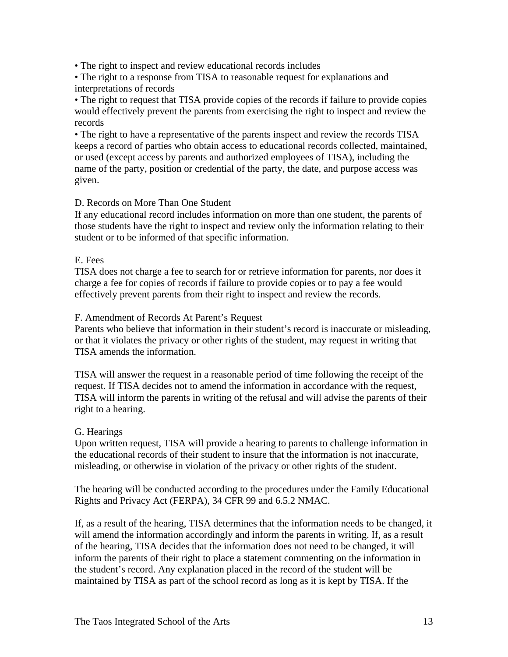• The right to inspect and review educational records includes

• The right to a response from TISA to reasonable request for explanations and interpretations of records

• The right to request that TISA provide copies of the records if failure to provide copies would effectively prevent the parents from exercising the right to inspect and review the records

• The right to have a representative of the parents inspect and review the records TISA keeps a record of parties who obtain access to educational records collected, maintained, or used (except access by parents and authorized employees of TISA), including the name of the party, position or credential of the party, the date, and purpose access was given.

# D. Records on More Than One Student

If any educational record includes information on more than one student, the parents of those students have the right to inspect and review only the information relating to their student or to be informed of that specific information.

### E. Fees

TISA does not charge a fee to search for or retrieve information for parents, nor does it charge a fee for copies of records if failure to provide copies or to pay a fee would effectively prevent parents from their right to inspect and review the records.

### F. Amendment of Records At Parent's Request

Parents who believe that information in their student's record is inaccurate or misleading, or that it violates the privacy or other rights of the student, may request in writing that TISA amends the information.

TISA will answer the request in a reasonable period of time following the receipt of the request. If TISA decides not to amend the information in accordance with the request, TISA will inform the parents in writing of the refusal and will advise the parents of their right to a hearing.

# G. Hearings

Upon written request, TISA will provide a hearing to parents to challenge information in the educational records of their student to insure that the information is not inaccurate, misleading, or otherwise in violation of the privacy or other rights of the student.

The hearing will be conducted according to the procedures under the Family Educational Rights and Privacy Act (FERPA), 34 CFR 99 and 6.5.2 NMAC.

If, as a result of the hearing, TISA determines that the information needs to be changed, it will amend the information accordingly and inform the parents in writing. If, as a result of the hearing, TISA decides that the information does not need to be changed, it will inform the parents of their right to place a statement commenting on the information in the student's record. Any explanation placed in the record of the student will be maintained by TISA as part of the school record as long as it is kept by TISA. If the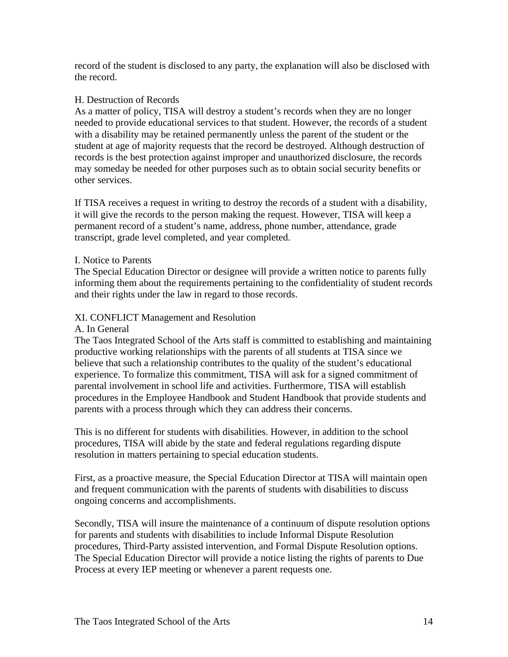record of the student is disclosed to any party, the explanation will also be disclosed with the record.

### H. Destruction of Records

As a matter of policy, TISA will destroy a student's records when they are no longer needed to provide educational services to that student. However, the records of a student with a disability may be retained permanently unless the parent of the student or the student at age of majority requests that the record be destroyed. Although destruction of records is the best protection against improper and unauthorized disclosure, the records may someday be needed for other purposes such as to obtain social security benefits or other services.

If TISA receives a request in writing to destroy the records of a student with a disability, it will give the records to the person making the request. However, TISA will keep a permanent record of a student's name, address, phone number, attendance, grade transcript, grade level completed, and year completed.

### I. Notice to Parents

The Special Education Director or designee will provide a written notice to parents fully informing them about the requirements pertaining to the confidentiality of student records and their rights under the law in regard to those records.

# XI. CONFLICT Management and Resolution

### A. In General

The Taos Integrated School of the Arts staff is committed to establishing and maintaining productive working relationships with the parents of all students at TISA since we believe that such a relationship contributes to the quality of the student's educational experience. To formalize this commitment, TISA will ask for a signed commitment of parental involvement in school life and activities. Furthermore, TISA will establish procedures in the Employee Handbook and Student Handbook that provide students and parents with a process through which they can address their concerns.

This is no different for students with disabilities. However, in addition to the school procedures, TISA will abide by the state and federal regulations regarding dispute resolution in matters pertaining to special education students.

First, as a proactive measure, the Special Education Director at TISA will maintain open and frequent communication with the parents of students with disabilities to discuss ongoing concerns and accomplishments.

Secondly, TISA will insure the maintenance of a continuum of dispute resolution options for parents and students with disabilities to include Informal Dispute Resolution procedures, Third-Party assisted intervention, and Formal Dispute Resolution options. The Special Education Director will provide a notice listing the rights of parents to Due Process at every IEP meeting or whenever a parent requests one.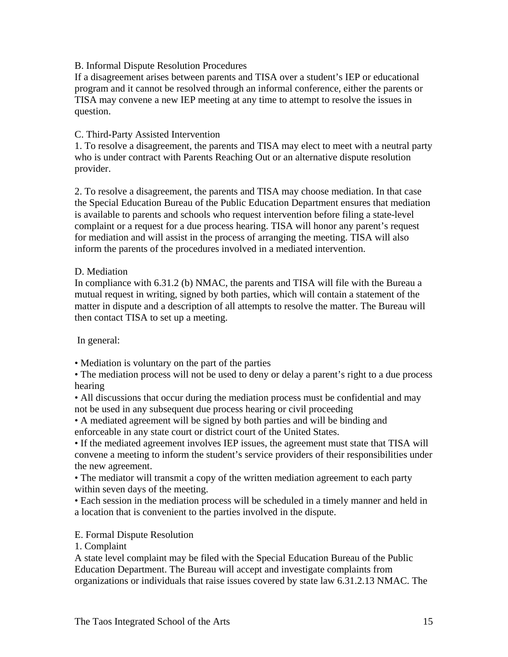### B. Informal Dispute Resolution Procedures

If a disagreement arises between parents and TISA over a student's IEP or educational program and it cannot be resolved through an informal conference, either the parents or TISA may convene a new IEP meeting at any time to attempt to resolve the issues in question.

### C. Third-Party Assisted Intervention

1. To resolve a disagreement, the parents and TISA may elect to meet with a neutral party who is under contract with Parents Reaching Out or an alternative dispute resolution provider.

2. To resolve a disagreement, the parents and TISA may choose mediation. In that case the Special Education Bureau of the Public Education Department ensures that mediation is available to parents and schools who request intervention before filing a state-level complaint or a request for a due process hearing. TISA will honor any parent's request for mediation and will assist in the process of arranging the meeting. TISA will also inform the parents of the procedures involved in a mediated intervention.

### D. Mediation

In compliance with 6.31.2 (b) NMAC, the parents and TISA will file with the Bureau a mutual request in writing, signed by both parties, which will contain a statement of the matter in dispute and a description of all attempts to resolve the matter. The Bureau will then contact TISA to set up a meeting.

In general:

• Mediation is voluntary on the part of the parties

• The mediation process will not be used to deny or delay a parent's right to a due process hearing

• All discussions that occur during the mediation process must be confidential and may not be used in any subsequent due process hearing or civil proceeding

• A mediated agreement will be signed by both parties and will be binding and enforceable in any state court or district court of the United States.

• If the mediated agreement involves IEP issues, the agreement must state that TISA will convene a meeting to inform the student's service providers of their responsibilities under the new agreement.

• The mediator will transmit a copy of the written mediation agreement to each party within seven days of the meeting.

• Each session in the mediation process will be scheduled in a timely manner and held in a location that is convenient to the parties involved in the dispute.

E. Formal Dispute Resolution

1. Complaint

A state level complaint may be filed with the Special Education Bureau of the Public Education Department. The Bureau will accept and investigate complaints from organizations or individuals that raise issues covered by state law 6.31.2.13 NMAC. The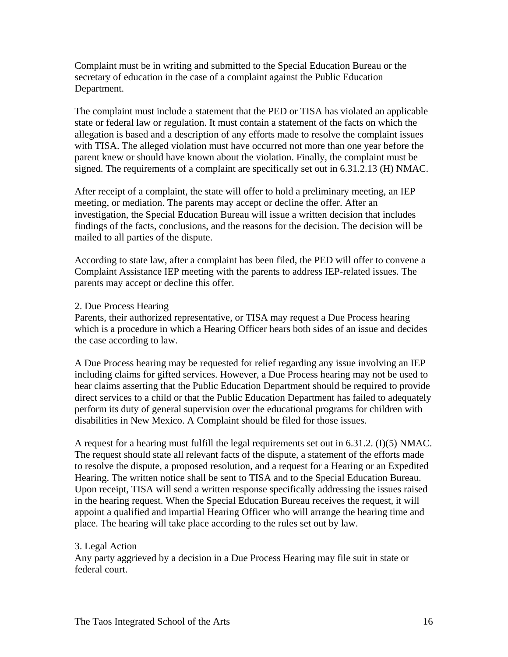Complaint must be in writing and submitted to the Special Education Bureau or the secretary of education in the case of a complaint against the Public Education Department.

The complaint must include a statement that the PED or TISA has violated an applicable state or federal law or regulation. It must contain a statement of the facts on which the allegation is based and a description of any efforts made to resolve the complaint issues with TISA. The alleged violation must have occurred not more than one year before the parent knew or should have known about the violation. Finally, the complaint must be signed. The requirements of a complaint are specifically set out in 6.31.2.13 (H) NMAC.

After receipt of a complaint, the state will offer to hold a preliminary meeting, an IEP meeting, or mediation. The parents may accept or decline the offer. After an investigation, the Special Education Bureau will issue a written decision that includes findings of the facts, conclusions, and the reasons for the decision. The decision will be mailed to all parties of the dispute.

According to state law, after a complaint has been filed, the PED will offer to convene a Complaint Assistance IEP meeting with the parents to address IEP-related issues. The parents may accept or decline this offer.

### 2. Due Process Hearing

Parents, their authorized representative, or TISA may request a Due Process hearing which is a procedure in which a Hearing Officer hears both sides of an issue and decides the case according to law.

A Due Process hearing may be requested for relief regarding any issue involving an IEP including claims for gifted services. However, a Due Process hearing may not be used to hear claims asserting that the Public Education Department should be required to provide direct services to a child or that the Public Education Department has failed to adequately perform its duty of general supervision over the educational programs for children with disabilities in New Mexico. A Complaint should be filed for those issues.

A request for a hearing must fulfill the legal requirements set out in 6.31.2. (I)(5) NMAC. The request should state all relevant facts of the dispute, a statement of the efforts made to resolve the dispute, a proposed resolution, and a request for a Hearing or an Expedited Hearing. The written notice shall be sent to TISA and to the Special Education Bureau. Upon receipt, TISA will send a written response specifically addressing the issues raised in the hearing request. When the Special Education Bureau receives the request, it will appoint a qualified and impartial Hearing Officer who will arrange the hearing time and place. The hearing will take place according to the rules set out by law.

### 3. Legal Action

Any party aggrieved by a decision in a Due Process Hearing may file suit in state or federal court.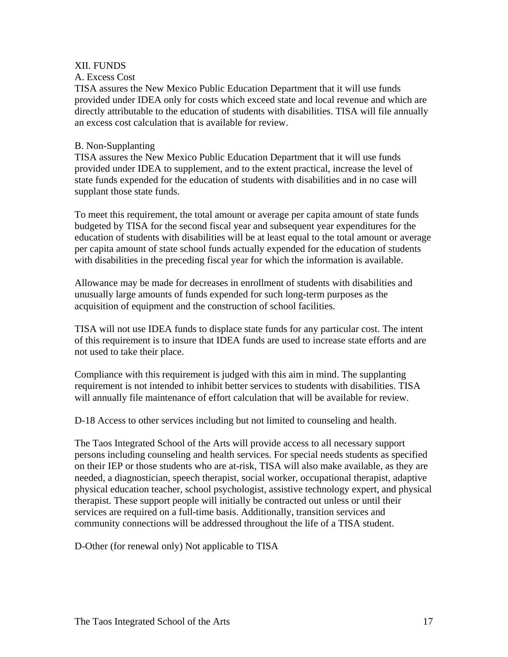### XII. FUNDS

### A. Excess Cost

TISA assures the New Mexico Public Education Department that it will use funds provided under IDEA only for costs which exceed state and local revenue and which are directly attributable to the education of students with disabilities. TISA will file annually an excess cost calculation that is available for review.

### B. Non-Supplanting

TISA assures the New Mexico Public Education Department that it will use funds provided under IDEA to supplement, and to the extent practical, increase the level of state funds expended for the education of students with disabilities and in no case will supplant those state funds.

To meet this requirement, the total amount or average per capita amount of state funds budgeted by TISA for the second fiscal year and subsequent year expenditures for the education of students with disabilities will be at least equal to the total amount or average per capita amount of state school funds actually expended for the education of students with disabilities in the preceding fiscal year for which the information is available.

Allowance may be made for decreases in enrollment of students with disabilities and unusually large amounts of funds expended for such long-term purposes as the acquisition of equipment and the construction of school facilities.

TISA will not use IDEA funds to displace state funds for any particular cost. The intent of this requirement is to insure that IDEA funds are used to increase state efforts and are not used to take their place.

Compliance with this requirement is judged with this aim in mind. The supplanting requirement is not intended to inhibit better services to students with disabilities. TISA will annually file maintenance of effort calculation that will be available for review.

D-18 Access to other services including but not limited to counseling and health.

The Taos Integrated School of the Arts will provide access to all necessary support persons including counseling and health services. For special needs students as specified on their IEP or those students who are at-risk, TISA will also make available, as they are needed, a diagnostician, speech therapist, social worker, occupational therapist, adaptive physical education teacher, school psychologist, assistive technology expert, and physical therapist. These support people will initially be contracted out unless or until their services are required on a full-time basis. Additionally, transition services and community connections will be addressed throughout the life of a TISA student.

D-Other (for renewal only) Not applicable to TISA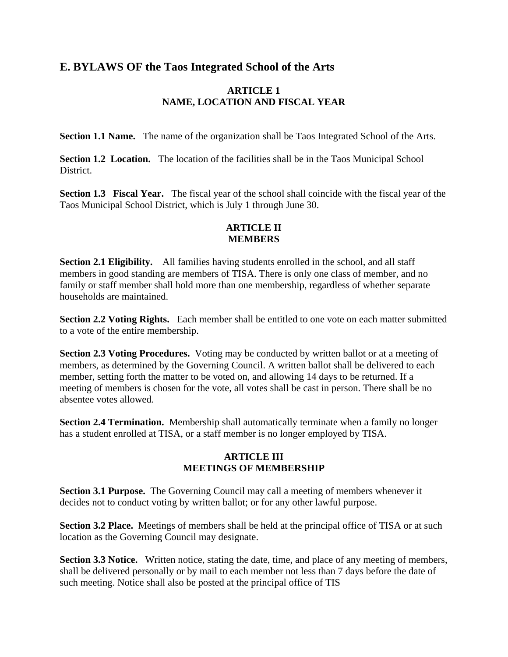# **E. BYLAWS OF the Taos Integrated School of the Arts**

### **ARTICLE 1 NAME, LOCATION AND FISCAL YEAR**

**Section 1.1 Name.** The name of the organization shall be Taos Integrated School of the Arts.

**Section 1.2 Location.** The location of the facilities shall be in the Taos Municipal School District.

**Section 1.3 Fiscal Year.** The fiscal year of the school shall coincide with the fiscal year of the Taos Municipal School District, which is July 1 through June 30.

### **ARTICLE II MEMBERS**

**Section 2.1 Eligibility.** All families having students enrolled in the school, and all staff members in good standing are members of TISA. There is only one class of member, and no family or staff member shall hold more than one membership, regardless of whether separate households are maintained.

**Section 2.2 Voting Rights.** Each member shall be entitled to one vote on each matter submitted to a vote of the entire membership.

**Section 2.3 Voting Procedures.** Voting may be conducted by written ballot or at a meeting of members, as determined by the Governing Council. A written ballot shall be delivered to each member, setting forth the matter to be voted on, and allowing 14 days to be returned. If a meeting of members is chosen for the vote, all votes shall be cast in person. There shall be no absentee votes allowed.

**Section 2.4 Termination.** Membership shall automatically terminate when a family no longer has a student enrolled at TISA, or a staff member is no longer employed by TISA.

### **ARTICLE III MEETINGS OF MEMBERSHIP**

**Section 3.1 Purpose.** The Governing Council may call a meeting of members whenever it decides not to conduct voting by written ballot; or for any other lawful purpose.

**Section 3.2 Place.** Meetings of members shall be held at the principal office of TISA or at such location as the Governing Council may designate.

**Section 3.3 Notice.** Written notice, stating the date, time, and place of any meeting of members, shall be delivered personally or by mail to each member not less than 7 days before the date of such meeting. Notice shall also be posted at the principal office of TIS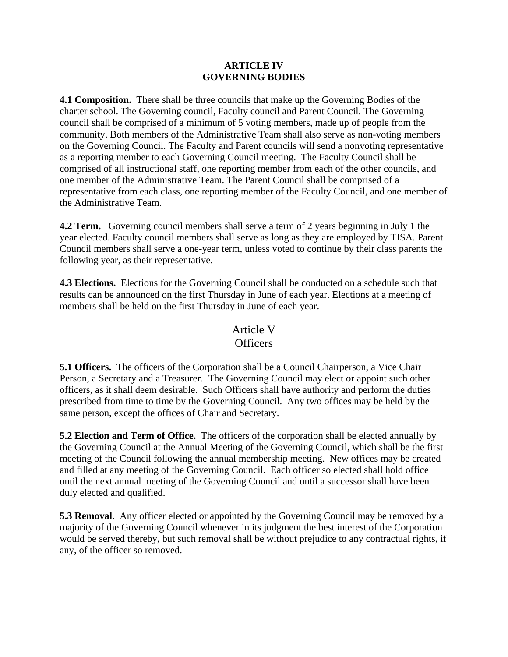### **ARTICLE IV GOVERNING BODIES**

**4.1 Composition.** There shall be three councils that make up the Governing Bodies of the charter school. The Governing council, Faculty council and Parent Council. The Governing council shall be comprised of a minimum of 5 voting members, made up of people from the community. Both members of the Administrative Team shall also serve as non-voting members on the Governing Council. The Faculty and Parent councils will send a nonvoting representative as a reporting member to each Governing Council meeting. The Faculty Council shall be comprised of all instructional staff, one reporting member from each of the other councils, and one member of the Administrative Team. The Parent Council shall be comprised of a representative from each class, one reporting member of the Faculty Council, and one member of the Administrative Team.

**4.2 Term.** Governing council members shall serve a term of 2 years beginning in July 1 the year elected. Faculty council members shall serve as long as they are employed by TISA. Parent Council members shall serve a one-year term, unless voted to continue by their class parents the following year, as their representative.

**4.3 Elections.** Elections for the Governing Council shall be conducted on a schedule such that results can be announced on the first Thursday in June of each year. Elections at a meeting of members shall be held on the first Thursday in June of each year.

# Article V

# **Officers**

**5.1 Officers.** The officers of the Corporation shall be a Council Chairperson, a Vice Chair Person, a Secretary and a Treasurer. The Governing Council may elect or appoint such other officers, as it shall deem desirable. Such Officers shall have authority and perform the duties prescribed from time to time by the Governing Council. Any two offices may be held by the same person, except the offices of Chair and Secretary.

**5.2 Election and Term of Office.** The officers of the corporation shall be elected annually by the Governing Council at the Annual Meeting of the Governing Council, which shall be the first meeting of the Council following the annual membership meeting. New offices may be created and filled at any meeting of the Governing Council. Each officer so elected shall hold office until the next annual meeting of the Governing Council and until a successor shall have been duly elected and qualified.

**5.3 Removal.** Any officer elected or appointed by the Governing Council may be removed by a majority of the Governing Council whenever in its judgment the best interest of the Corporation would be served thereby, but such removal shall be without prejudice to any contractual rights, if any, of the officer so removed.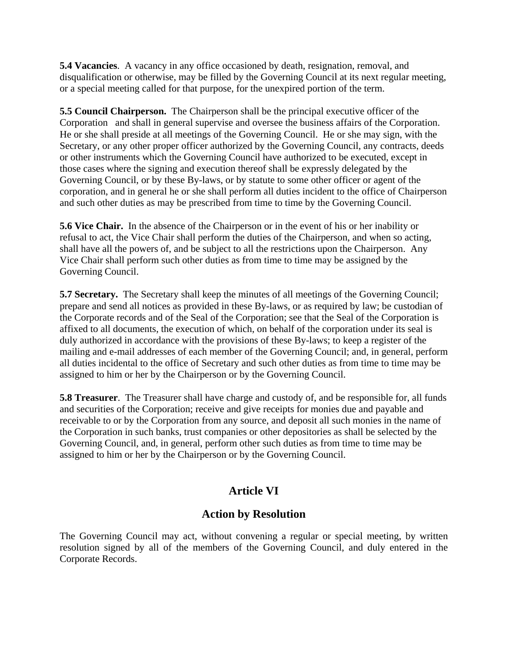**5.4 Vacancies**. A vacancy in any office occasioned by death, resignation, removal, and disqualification or otherwise, may be filled by the Governing Council at its next regular meeting, or a special meeting called for that purpose, for the unexpired portion of the term.

**5.5 Council Chairperson.** The Chairperson shall be the principal executive officer of the Corporation and shall in general supervise and oversee the business affairs of the Corporation. He or she shall preside at all meetings of the Governing Council. He or she may sign, with the Secretary, or any other proper officer authorized by the Governing Council, any contracts, deeds or other instruments which the Governing Council have authorized to be executed, except in those cases where the signing and execution thereof shall be expressly delegated by the Governing Council, or by these By-laws, or by statute to some other officer or agent of the corporation, and in general he or she shall perform all duties incident to the office of Chairperson and such other duties as may be prescribed from time to time by the Governing Council.

**5.6 Vice Chair.** In the absence of the Chairperson or in the event of his or her inability or refusal to act, the Vice Chair shall perform the duties of the Chairperson, and when so acting, shall have all the powers of, and be subject to all the restrictions upon the Chairperson. Any Vice Chair shall perform such other duties as from time to time may be assigned by the Governing Council.

**5.7 Secretary.** The Secretary shall keep the minutes of all meetings of the Governing Council; prepare and send all notices as provided in these By-laws, or as required by law; be custodian of the Corporate records and of the Seal of the Corporation; see that the Seal of the Corporation is affixed to all documents, the execution of which, on behalf of the corporation under its seal is duly authorized in accordance with the provisions of these By-laws; to keep a register of the mailing and e-mail addresses of each member of the Governing Council; and, in general, perform all duties incidental to the office of Secretary and such other duties as from time to time may be assigned to him or her by the Chairperson or by the Governing Council.

**5.8 Treasurer**. The Treasurer shall have charge and custody of, and be responsible for, all funds and securities of the Corporation; receive and give receipts for monies due and payable and receivable to or by the Corporation from any source, and deposit all such monies in the name of the Corporation in such banks, trust companies or other depositories as shall be selected by the Governing Council, and, in general, perform other such duties as from time to time may be assigned to him or her by the Chairperson or by the Governing Council.

# **Article VI**

# **Action by Resolution**

The Governing Council may act, without convening a regular or special meeting, by written resolution signed by all of the members of the Governing Council, and duly entered in the Corporate Records.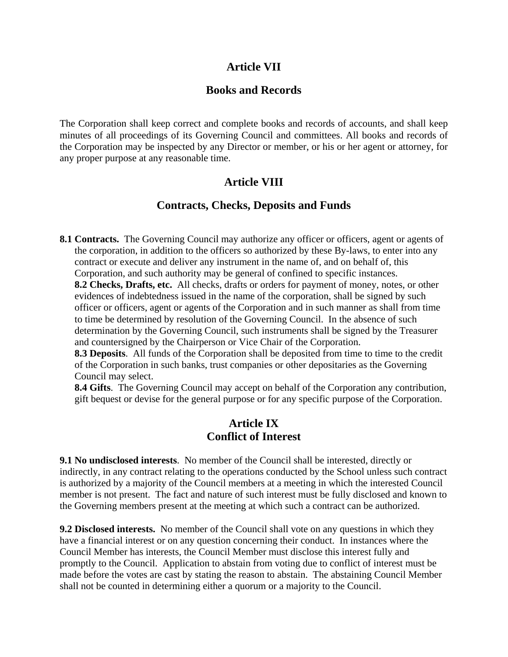# **Article VII**

# **Books and Records**

The Corporation shall keep correct and complete books and records of accounts, and shall keep minutes of all proceedings of its Governing Council and committees. All books and records of the Corporation may be inspected by any Director or member, or his or her agent or attorney, for any proper purpose at any reasonable time.

# **Article VIII**

# **Contracts, Checks, Deposits and Funds**

**8.1 Contracts.** The Governing Council may authorize any officer or officers, agent or agents of the corporation, in addition to the officers so authorized by these By-laws, to enter into any contract or execute and deliver any instrument in the name of, and on behalf of, this Corporation, and such authority may be general of confined to specific instances.

**8.2 Checks, Drafts, etc.** All checks, drafts or orders for payment of money, notes, or other evidences of indebtedness issued in the name of the corporation, shall be signed by such officer or officers, agent or agents of the Corporation and in such manner as shall from time to time be determined by resolution of the Governing Council. In the absence of such determination by the Governing Council, such instruments shall be signed by the Treasurer and countersigned by the Chairperson or Vice Chair of the Corporation.

**8.3 Deposits**. All funds of the Corporation shall be deposited from time to time to the credit of the Corporation in such banks, trust companies or other depositaries as the Governing Council may select.

**8.4 Gifts**. The Governing Council may accept on behalf of the Corporation any contribution, gift bequest or devise for the general purpose or for any specific purpose of the Corporation.

# **Article IX Conflict of Interest**

**9.1 No undisclosed interests**. No member of the Council shall be interested, directly or indirectly, in any contract relating to the operations conducted by the School unless such contract is authorized by a majority of the Council members at a meeting in which the interested Council member is not present. The fact and nature of such interest must be fully disclosed and known to the Governing members present at the meeting at which such a contract can be authorized.

**9.2 Disclosed interests.** No member of the Council shall vote on any questions in which they have a financial interest or on any question concerning their conduct. In instances where the Council Member has interests, the Council Member must disclose this interest fully and promptly to the Council. Application to abstain from voting due to conflict of interest must be made before the votes are cast by stating the reason to abstain. The abstaining Council Member shall not be counted in determining either a quorum or a majority to the Council.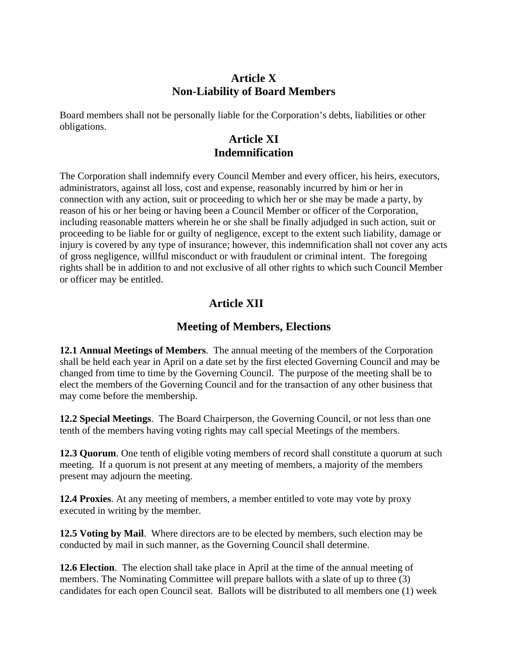# **Article X Non-Liability of Board Members**

Board members shall not be personally liable for the Corporation's debts, liabilities or other obligations.

# **Article XI Indemnification**

The Corporation shall indemnify every Council Member and every officer, his heirs, executors, administrators, against all loss, cost and expense, reasonably incurred by him or her in connection with any action, suit or proceeding to which her or she may be made a party, by reason of his or her being or having been a Council Member or officer of the Corporation, including reasonable matters wherein he or she shall be finally adjudged in such action, suit or proceeding to be liable for or guilty of negligence, except to the extent such liability, damage or injury is covered by any type of insurance; however, this indemnification shall not cover any acts of gross negligence, willful misconduct or with fraudulent or criminal intent. The foregoing rights shall be in addition to and not exclusive of all other rights to which such Council Member or officer may be entitled.

# **Article XII**

# **Meeting of Members, Elections**

**12.1 Annual Meetings of Members**. The annual meeting of the members of the Corporation shall be held each year in April on a date set by the first elected Governing Council and may be changed from time to time by the Governing Council. The purpose of the meeting shall be to elect the members of the Governing Council and for the transaction of any other business that may come before the membership.

**12.2 Special Meetings**. The Board Chairperson, the Governing Council, or not less than one tenth of the members having voting rights may call special Meetings of the members.

**12.3 Quorum**. One tenth of eligible voting members of record shall constitute a quorum at such meeting. If a quorum is not present at any meeting of members, a majority of the members present may adjourn the meeting.

**12.4 Proxies**. At any meeting of members, a member entitled to vote may vote by proxy executed in writing by the member.

**12.5 Voting by Mail**. Where directors are to be elected by members, such election may be conducted by mail in such manner, as the Governing Council shall determine.

**12.6 Election**. The election shall take place in April at the time of the annual meeting of members. The Nominating Committee will prepare ballots with a slate of up to three (3) candidates for each open Council seat. Ballots will be distributed to all members one (1) week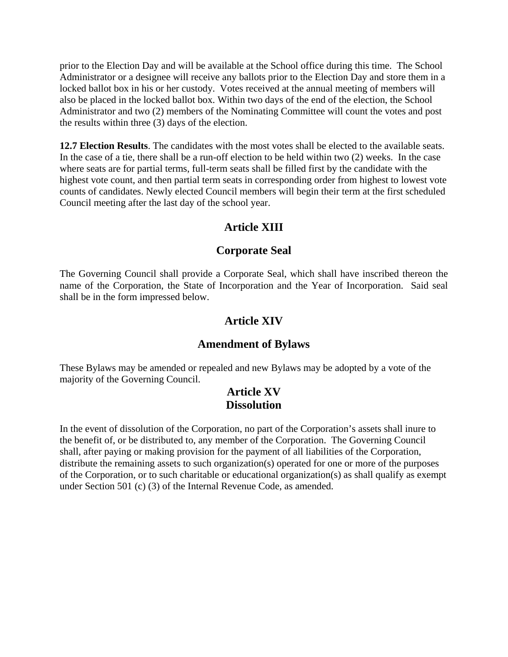prior to the Election Day and will be available at the School office during this time. The School Administrator or a designee will receive any ballots prior to the Election Day and store them in a locked ballot box in his or her custody. Votes received at the annual meeting of members will also be placed in the locked ballot box. Within two days of the end of the election, the School Administrator and two (2) members of the Nominating Committee will count the votes and post the results within three (3) days of the election.

**12.7 Election Results**. The candidates with the most votes shall be elected to the available seats. In the case of a tie, there shall be a run-off election to be held within two (2) weeks. In the case where seats are for partial terms, full-term seats shall be filled first by the candidate with the highest vote count, and then partial term seats in corresponding order from highest to lowest vote counts of candidates. Newly elected Council members will begin their term at the first scheduled Council meeting after the last day of the school year.

# **Article XIII**

# **Corporate Seal**

The Governing Council shall provide a Corporate Seal, which shall have inscribed thereon the name of the Corporation, the State of Incorporation and the Year of Incorporation. Said seal shall be in the form impressed below.

# **Article XIV**

# **Amendment of Bylaws**

These Bylaws may be amended or repealed and new Bylaws may be adopted by a vote of the majority of the Governing Council.

# **Article XV Dissolution**

In the event of dissolution of the Corporation, no part of the Corporation's assets shall inure to the benefit of, or be distributed to, any member of the Corporation. The Governing Council shall, after paying or making provision for the payment of all liabilities of the Corporation, distribute the remaining assets to such organization(s) operated for one or more of the purposes of the Corporation, or to such charitable or educational organization(s) as shall qualify as exempt under Section 501 (c) (3) of the Internal Revenue Code, as amended.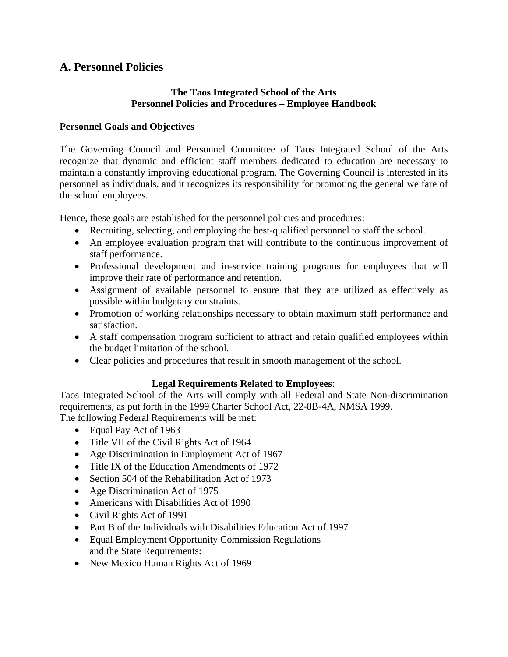# **A. Personnel Policies**

### **The Taos Integrated School of the Arts Personnel Policies and Procedures – Employee Handbook**

### **Personnel Goals and Objectives**

The Governing Council and Personnel Committee of Taos Integrated School of the Arts recognize that dynamic and efficient staff members dedicated to education are necessary to maintain a constantly improving educational program. The Governing Council is interested in its personnel as individuals, and it recognizes its responsibility for promoting the general welfare of the school employees.

Hence, these goals are established for the personnel policies and procedures:

- Recruiting, selecting, and employing the best-qualified personnel to staff the school.
- An employee evaluation program that will contribute to the continuous improvement of staff performance.
- Professional development and in-service training programs for employees that will improve their rate of performance and retention.
- Assignment of available personnel to ensure that they are utilized as effectively as possible within budgetary constraints.
- Promotion of working relationships necessary to obtain maximum staff performance and satisfaction.
- A staff compensation program sufficient to attract and retain qualified employees within the budget limitation of the school.
- Clear policies and procedures that result in smooth management of the school.

# **Legal Requirements Related to Employees**:

Taos Integrated School of the Arts will comply with all Federal and State Non-discrimination requirements, as put forth in the 1999 Charter School Act, 22-8B-4A, NMSA 1999. The following Federal Requirements will be met:

- Equal Pay Act of 1963
- Title VII of the Civil Rights Act of 1964
- Age Discrimination in Employment Act of 1967
- Title IX of the Education Amendments of 1972
- Section 504 of the Rehabilitation Act of 1973
- Age Discrimination Act of 1975
- Americans with Disabilities Act of 1990
- Civil Rights Act of 1991
- Part B of the Individuals with Disabilities Education Act of 1997
- Equal Employment Opportunity Commission Regulations and the State Requirements:
- New Mexico Human Rights Act of 1969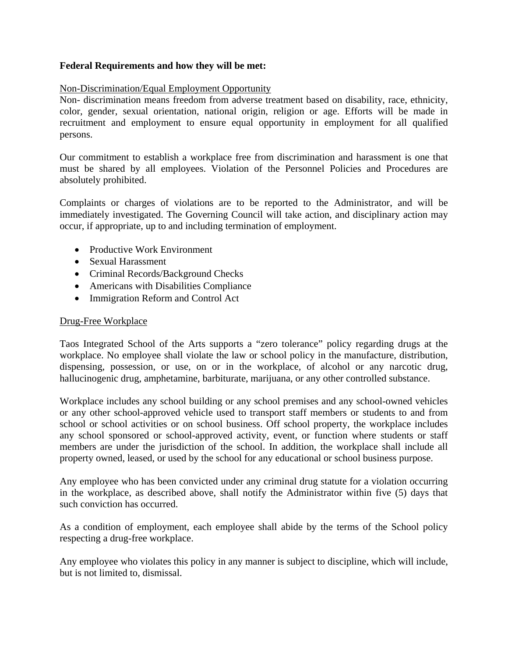### **Federal Requirements and how they will be met:**

### Non-Discrimination/Equal Employment Opportunity

Non- discrimination means freedom from adverse treatment based on disability, race, ethnicity, color, gender, sexual orientation, national origin, religion or age. Efforts will be made in recruitment and employment to ensure equal opportunity in employment for all qualified persons.

Our commitment to establish a workplace free from discrimination and harassment is one that must be shared by all employees. Violation of the Personnel Policies and Procedures are absolutely prohibited.

Complaints or charges of violations are to be reported to the Administrator, and will be immediately investigated. The Governing Council will take action, and disciplinary action may occur, if appropriate, up to and including termination of employment.

- Productive Work Environment
- Sexual Harassment
- Criminal Records/Background Checks
- Americans with Disabilities Compliance
- Immigration Reform and Control Act

### Drug-Free Workplace

Taos Integrated School of the Arts supports a "zero tolerance" policy regarding drugs at the workplace. No employee shall violate the law or school policy in the manufacture, distribution, dispensing, possession, or use, on or in the workplace, of alcohol or any narcotic drug, hallucinogenic drug, amphetamine, barbiturate, marijuana, or any other controlled substance.

Workplace includes any school building or any school premises and any school-owned vehicles or any other school-approved vehicle used to transport staff members or students to and from school or school activities or on school business. Off school property, the workplace includes any school sponsored or school-approved activity, event, or function where students or staff members are under the jurisdiction of the school. In addition, the workplace shall include all property owned, leased, or used by the school for any educational or school business purpose.

Any employee who has been convicted under any criminal drug statute for a violation occurring in the workplace, as described above, shall notify the Administrator within five (5) days that such conviction has occurred.

As a condition of employment, each employee shall abide by the terms of the School policy respecting a drug-free workplace.

Any employee who violates this policy in any manner is subject to discipline, which will include, but is not limited to, dismissal.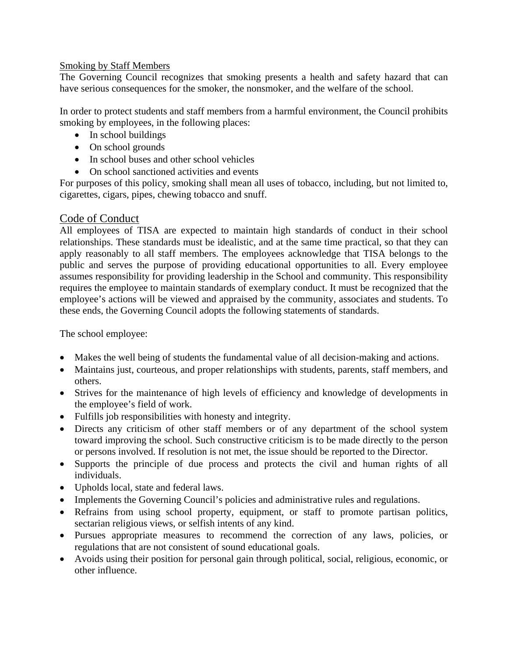### Smoking by Staff Members

The Governing Council recognizes that smoking presents a health and safety hazard that can have serious consequences for the smoker, the nonsmoker, and the welfare of the school.

In order to protect students and staff members from a harmful environment, the Council prohibits smoking by employees, in the following places:

- In school buildings
- On school grounds
- In school buses and other school vehicles
- On school sanctioned activities and events

For purposes of this policy, smoking shall mean all uses of tobacco, including, but not limited to, cigarettes, cigars, pipes, chewing tobacco and snuff.

# Code of Conduct

All employees of TISA are expected to maintain high standards of conduct in their school relationships. These standards must be idealistic, and at the same time practical, so that they can apply reasonably to all staff members. The employees acknowledge that TISA belongs to the public and serves the purpose of providing educational opportunities to all. Every employee assumes responsibility for providing leadership in the School and community. This responsibility requires the employee to maintain standards of exemplary conduct. It must be recognized that the employee's actions will be viewed and appraised by the community, associates and students. To these ends, the Governing Council adopts the following statements of standards.

The school employee:

- Makes the well being of students the fundamental value of all decision-making and actions.
- Maintains just, courteous, and proper relationships with students, parents, staff members, and others.
- Strives for the maintenance of high levels of efficiency and knowledge of developments in the employee's field of work.
- Fulfills job responsibilities with honesty and integrity.
- Directs any criticism of other staff members or of any department of the school system toward improving the school. Such constructive criticism is to be made directly to the person or persons involved. If resolution is not met, the issue should be reported to the Director.
- Supports the principle of due process and protects the civil and human rights of all individuals.
- Upholds local, state and federal laws.
- Implements the Governing Council's policies and administrative rules and regulations.
- Refrains from using school property, equipment, or staff to promote partisan politics, sectarian religious views, or selfish intents of any kind.
- Pursues appropriate measures to recommend the correction of any laws, policies, or regulations that are not consistent of sound educational goals.
- Avoids using their position for personal gain through political, social, religious, economic, or other influence.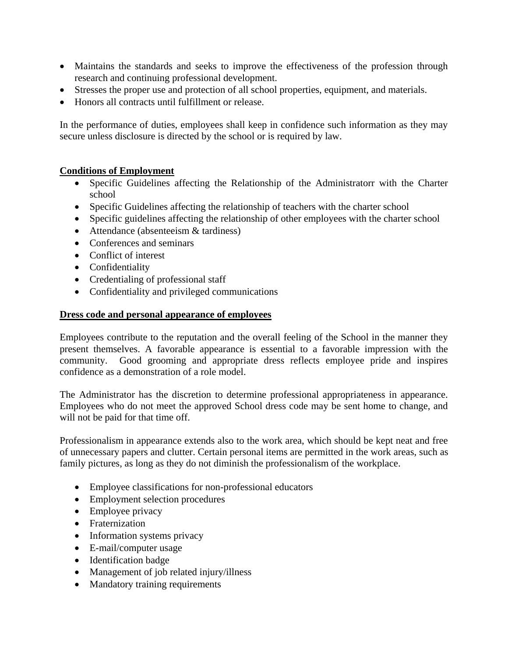- Maintains the standards and seeks to improve the effectiveness of the profession through research and continuing professional development.
- Stresses the proper use and protection of all school properties, equipment, and materials.
- Honors all contracts until fulfillment or release.

In the performance of duties, employees shall keep in confidence such information as they may secure unless disclosure is directed by the school or is required by law.

# **Conditions of Employment**

- Specific Guidelines affecting the Relationship of the Administratorr with the Charter school
- Specific Guidelines affecting the relationship of teachers with the charter school
- Specific guidelines affecting the relationship of other employees with the charter school
- Attendance (absenteeism & tardiness)
- Conferences and seminars
- Conflict of interest
- Confidentiality
- Credentialing of professional staff
- Confidentiality and privileged communications

### **Dress code and personal appearance of employees**

Employees contribute to the reputation and the overall feeling of the School in the manner they present themselves. A favorable appearance is essential to a favorable impression with the community. Good grooming and appropriate dress reflects employee pride and inspires confidence as a demonstration of a role model.

The Administrator has the discretion to determine professional appropriateness in appearance. Employees who do not meet the approved School dress code may be sent home to change, and will not be paid for that time off.

Professionalism in appearance extends also to the work area, which should be kept neat and free of unnecessary papers and clutter. Certain personal items are permitted in the work areas, such as family pictures, as long as they do not diminish the professionalism of the workplace.

- Employee classifications for non-professional educators
- Employment selection procedures
- Employee privacy
- Fraternization
- Information systems privacy
- E-mail/computer usage
- Identification badge
- Management of job related injury/illness
- Mandatory training requirements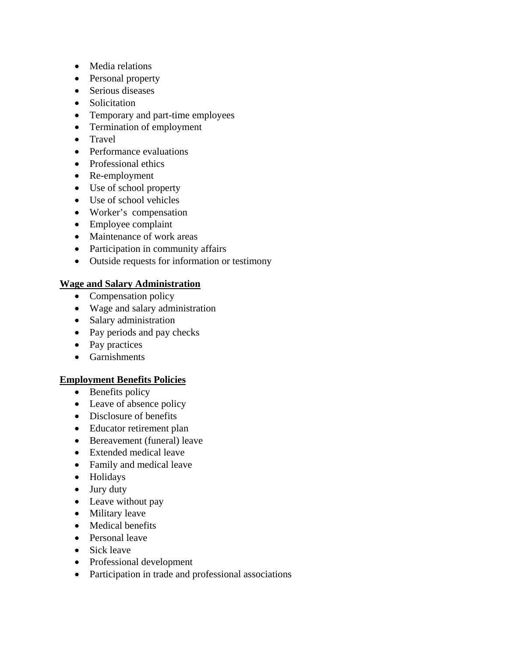- Media relations
- Personal property
- Serious diseases
- Solicitation
- Temporary and part-time employees
- Termination of employment
- Travel
- Performance evaluations
- Professional ethics
- Re-employment
- Use of school property
- Use of school vehicles
- Worker's compensation
- Employee complaint
- Maintenance of work areas
- Participation in community affairs
- Outside requests for information or testimony

### **Wage and Salary Administration**

- Compensation policy
- Wage and salary administration
- Salary administration
- Pay periods and pay checks
- Pay practices
- Garnishments

### **Employment Benefits Policies**

- Benefits policy
- Leave of absence policy
- Disclosure of benefits
- Educator retirement plan
- Bereavement (funeral) leave
- Extended medical leave
- Family and medical leave
- Holidays
- Jury duty
- Leave without pay
- Military leave
- Medical benefits
- Personal leave
- Sick leave
- Professional development
- Participation in trade and professional associations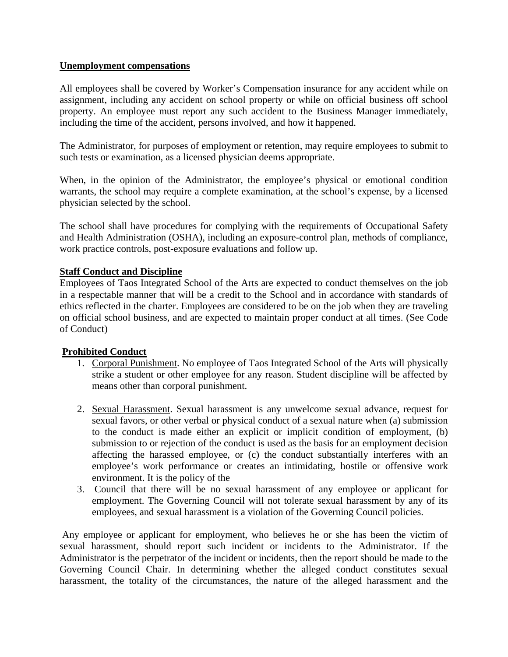### **Unemployment compensations**

All employees shall be covered by Worker's Compensation insurance for any accident while on assignment, including any accident on school property or while on official business off school property. An employee must report any such accident to the Business Manager immediately, including the time of the accident, persons involved, and how it happened.

The Administrator, for purposes of employment or retention, may require employees to submit to such tests or examination, as a licensed physician deems appropriate.

When, in the opinion of the Administrator, the employee's physical or emotional condition warrants, the school may require a complete examination, at the school's expense, by a licensed physician selected by the school.

The school shall have procedures for complying with the requirements of Occupational Safety and Health Administration (OSHA), including an exposure-control plan, methods of compliance, work practice controls, post-exposure evaluations and follow up.

### **Staff Conduct and Discipline**

Employees of Taos Integrated School of the Arts are expected to conduct themselves on the job in a respectable manner that will be a credit to the School and in accordance with standards of ethics reflected in the charter. Employees are considered to be on the job when they are traveling on official school business, and are expected to maintain proper conduct at all times. (See Code of Conduct)

# **Prohibited Conduct**

- 1. Corporal Punishment. No employee of Taos Integrated School of the Arts will physically strike a student or other employee for any reason. Student discipline will be affected by means other than corporal punishment.
- 2. Sexual Harassment. Sexual harassment is any unwelcome sexual advance, request for sexual favors, or other verbal or physical conduct of a sexual nature when (a) submission to the conduct is made either an explicit or implicit condition of employment, (b) submission to or rejection of the conduct is used as the basis for an employment decision affecting the harassed employee, or (c) the conduct substantially interferes with an employee's work performance or creates an intimidating, hostile or offensive work environment. It is the policy of the
- 3. Council that there will be no sexual harassment of any employee or applicant for employment. The Governing Council will not tolerate sexual harassment by any of its employees, and sexual harassment is a violation of the Governing Council policies.

 Any employee or applicant for employment, who believes he or she has been the victim of sexual harassment, should report such incident or incidents to the Administrator. If the Administrator is the perpetrator of the incident or incidents, then the report should be made to the Governing Council Chair. In determining whether the alleged conduct constitutes sexual harassment, the totality of the circumstances, the nature of the alleged harassment and the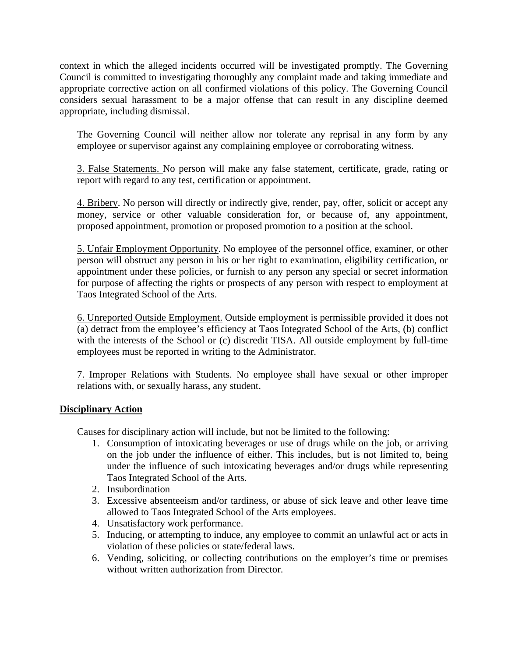context in which the alleged incidents occurred will be investigated promptly. The Governing Council is committed to investigating thoroughly any complaint made and taking immediate and appropriate corrective action on all confirmed violations of this policy. The Governing Council considers sexual harassment to be a major offense that can result in any discipline deemed appropriate, including dismissal.

The Governing Council will neither allow nor tolerate any reprisal in any form by any employee or supervisor against any complaining employee or corroborating witness.

3. False Statements. No person will make any false statement, certificate, grade, rating or report with regard to any test, certification or appointment.

4. Bribery. No person will directly or indirectly give, render, pay, offer, solicit or accept any money, service or other valuable consideration for, or because of, any appointment, proposed appointment, promotion or proposed promotion to a position at the school.

5. Unfair Employment Opportunity. No employee of the personnel office, examiner, or other person will obstruct any person in his or her right to examination, eligibility certification, or appointment under these policies, or furnish to any person any special or secret information for purpose of affecting the rights or prospects of any person with respect to employment at Taos Integrated School of the Arts.

6. Unreported Outside Employment. Outside employment is permissible provided it does not (a) detract from the employee's efficiency at Taos Integrated School of the Arts, (b) conflict with the interests of the School or (c) discredit TISA. All outside employment by full-time employees must be reported in writing to the Administrator.

7. Improper Relations with Students. No employee shall have sexual or other improper relations with, or sexually harass, any student.

# **Disciplinary Action**

Causes for disciplinary action will include, but not be limited to the following:

- 1. Consumption of intoxicating beverages or use of drugs while on the job, or arriving on the job under the influence of either. This includes, but is not limited to, being under the influence of such intoxicating beverages and/or drugs while representing Taos Integrated School of the Arts.
- 2. Insubordination
- 3. Excessive absenteeism and/or tardiness, or abuse of sick leave and other leave time allowed to Taos Integrated School of the Arts employees.
- 4. Unsatisfactory work performance.
- 5. Inducing, or attempting to induce, any employee to commit an unlawful act or acts in violation of these policies or state/federal laws.
- 6. Vending, soliciting, or collecting contributions on the employer's time or premises without written authorization from Director.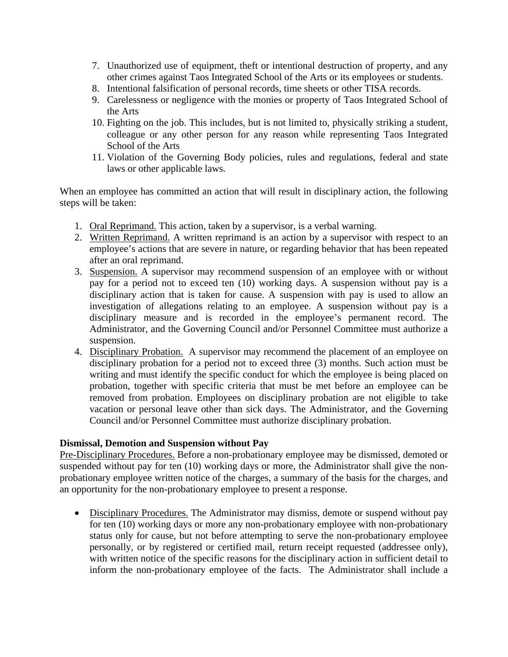- 7. Unauthorized use of equipment, theft or intentional destruction of property, and any other crimes against Taos Integrated School of the Arts or its employees or students.
- 8. Intentional falsification of personal records, time sheets or other TISA records.
- 9. Carelessness or negligence with the monies or property of Taos Integrated School of the Arts
- 10. Fighting on the job. This includes, but is not limited to, physically striking a student, colleague or any other person for any reason while representing Taos Integrated School of the Arts
- 11. Violation of the Governing Body policies, rules and regulations, federal and state laws or other applicable laws.

When an employee has committed an action that will result in disciplinary action, the following steps will be taken:

- 1. Oral Reprimand. This action, taken by a supervisor, is a verbal warning.
- 2. Written Reprimand. A written reprimand is an action by a supervisor with respect to an employee's actions that are severe in nature, or regarding behavior that has been repeated after an oral reprimand.
- 3. Suspension. A supervisor may recommend suspension of an employee with or without pay for a period not to exceed ten (10) working days. A suspension without pay is a disciplinary action that is taken for cause. A suspension with pay is used to allow an investigation of allegations relating to an employee. A suspension without pay is a disciplinary measure and is recorded in the employee's permanent record. The Administrator, and the Governing Council and/or Personnel Committee must authorize a suspension.
- 4. Disciplinary Probation. A supervisor may recommend the placement of an employee on disciplinary probation for a period not to exceed three (3) months. Such action must be writing and must identify the specific conduct for which the employee is being placed on probation, together with specific criteria that must be met before an employee can be removed from probation. Employees on disciplinary probation are not eligible to take vacation or personal leave other than sick days. The Administrator, and the Governing Council and/or Personnel Committee must authorize disciplinary probation.

### **Dismissal, Demotion and Suspension without Pay**

Pre-Disciplinary Procedures. Before a non-probationary employee may be dismissed, demoted or suspended without pay for ten (10) working days or more, the Administrator shall give the nonprobationary employee written notice of the charges, a summary of the basis for the charges, and an opportunity for the non-probationary employee to present a response.

• Disciplinary Procedures. The Administrator may dismiss, demote or suspend without pay for ten (10) working days or more any non-probationary employee with non-probationary status only for cause, but not before attempting to serve the non-probationary employee personally, or by registered or certified mail, return receipt requested (addressee only), with written notice of the specific reasons for the disciplinary action in sufficient detail to inform the non-probationary employee of the facts. The Administrator shall include a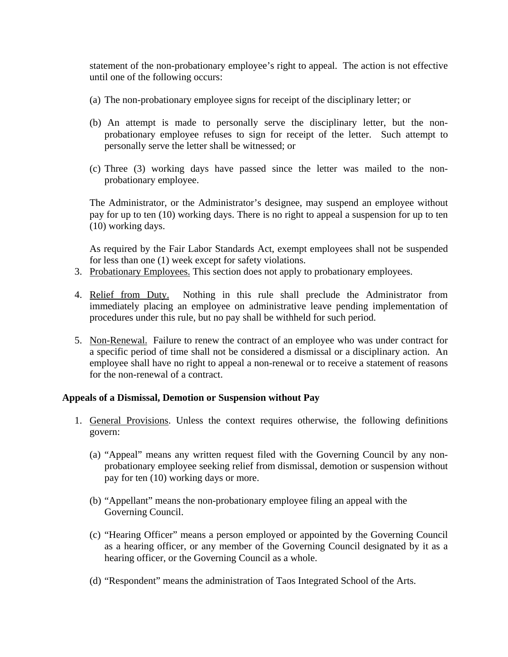statement of the non-probationary employee's right to appeal. The action is not effective until one of the following occurs:

- (a) The non-probationary employee signs for receipt of the disciplinary letter; or
- (b) An attempt is made to personally serve the disciplinary letter, but the nonprobationary employee refuses to sign for receipt of the letter. Such attempt to personally serve the letter shall be witnessed; or
- (c) Three (3) working days have passed since the letter was mailed to the nonprobationary employee.

The Administrator, or the Administrator's designee, may suspend an employee without pay for up to ten (10) working days. There is no right to appeal a suspension for up to ten (10) working days.

As required by the Fair Labor Standards Act, exempt employees shall not be suspended for less than one (1) week except for safety violations.

- 3. Probationary Employees. This section does not apply to probationary employees.
- 4. Relief from Duty. Nothing in this rule shall preclude the Administrator from immediately placing an employee on administrative leave pending implementation of procedures under this rule, but no pay shall be withheld for such period.
- 5. Non-Renewal. Failure to renew the contract of an employee who was under contract for a specific period of time shall not be considered a dismissal or a disciplinary action. An employee shall have no right to appeal a non-renewal or to receive a statement of reasons for the non-renewal of a contract.

### **Appeals of a Dismissal, Demotion or Suspension without Pay**

- 1. General Provisions. Unless the context requires otherwise, the following definitions govern:
	- (a) "Appeal" means any written request filed with the Governing Council by any nonprobationary employee seeking relief from dismissal, demotion or suspension without pay for ten (10) working days or more.
	- (b) "Appellant" means the non-probationary employee filing an appeal with the Governing Council.
	- (c) "Hearing Officer" means a person employed or appointed by the Governing Council as a hearing officer, or any member of the Governing Council designated by it as a hearing officer, or the Governing Council as a whole.
	- (d) "Respondent" means the administration of Taos Integrated School of the Arts.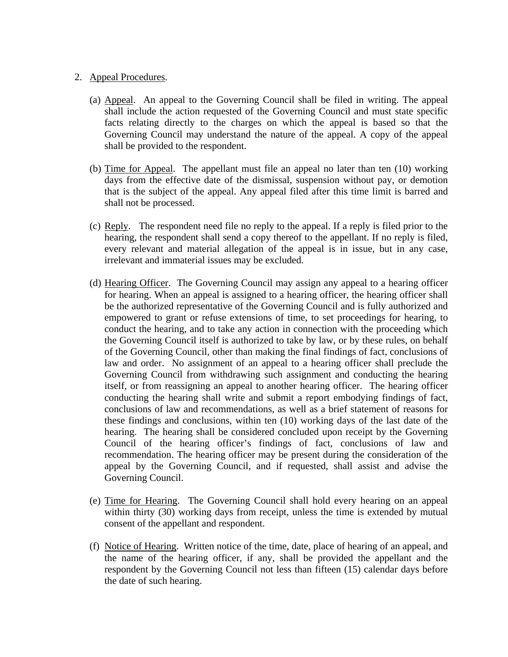### 2. Appeal Procedures.

- (a) Appeal. An appeal to the Governing Council shall be filed in writing. The appeal shall include the action requested of the Governing Council and must state specific facts relating directly to the charges on which the appeal is based so that the Governing Council may understand the nature of the appeal. A copy of the appeal shall be provided to the respondent.
- (b) Time for Appeal. The appellant must file an appeal no later than ten (10) working days from the effective date of the dismissal, suspension without pay, or demotion that is the subject of the appeal. Any appeal filed after this time limit is barred and shall not be processed.
- (c) Reply. The respondent need file no reply to the appeal. If a reply is filed prior to the hearing, the respondent shall send a copy thereof to the appellant. If no reply is filed, every relevant and material allegation of the appeal is in issue, but in any case, irrelevant and immaterial issues may be excluded.
- (d) Hearing Officer. The Governing Council may assign any appeal to a hearing officer for hearing. When an appeal is assigned to a hearing officer, the hearing officer shall be the authorized representative of the Governing Council and is fully authorized and empowered to grant or refuse extensions of time, to set proceedings for hearing, to conduct the hearing, and to take any action in connection with the proceeding which the Governing Council itself is authorized to take by law, or by these rules, on behalf of the Governing Council, other than making the final findings of fact, conclusions of law and order. No assignment of an appeal to a hearing officer shall preclude the Governing Council from withdrawing such assignment and conducting the hearing itself, or from reassigning an appeal to another hearing officer. The hearing officer conducting the hearing shall write and submit a report embodying findings of fact, conclusions of law and recommendations, as well as a brief statement of reasons for these findings and conclusions, within ten (10) working days of the last date of the hearing. The hearing shall be considered concluded upon receipt by the Governing Council of the hearing officer's findings of fact, conclusions of law and recommendation. The hearing officer may be present during the consideration of the appeal by the Governing Council, and if requested, shall assist and advise the Governing Council.
- (e) Time for Hearing. The Governing Council shall hold every hearing on an appeal within thirty (30) working days from receipt, unless the time is extended by mutual consent of the appellant and respondent.
- (f) Notice of Hearing. Written notice of the time, date, place of hearing of an appeal, and the name of the hearing officer, if any, shall be provided the appellant and the respondent by the Governing Council not less than fifteen (15) calendar days before the date of such hearing.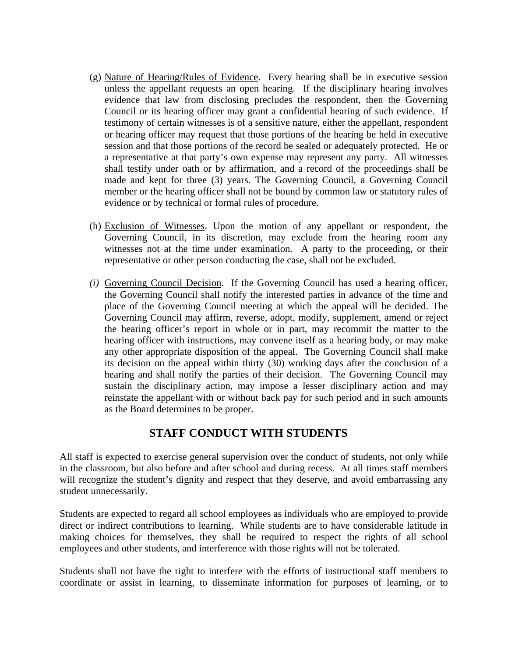- (g) Nature of Hearing/Rules of Evidence. Every hearing shall be in executive session unless the appellant requests an open hearing. If the disciplinary hearing involves evidence that law from disclosing precludes the respondent, then the Governing Council or its hearing officer may grant a confidential hearing of such evidence. If testimony of certain witnesses is of a sensitive nature, either the appellant, respondent or hearing officer may request that those portions of the hearing be held in executive session and that those portions of the record be sealed or adequately protected. He or a representative at that party's own expense may represent any party. All witnesses shall testify under oath or by affirmation, and a record of the proceedings shall be made and kept for three (3) years. The Governing Council, a Governing Council member or the hearing officer shall not be bound by common law or statutory rules of evidence or by technical or formal rules of procedure.
- (h) Exclusion of Witnesses. Upon the motion of any appellant or respondent, the Governing Council, in its discretion, may exclude from the hearing room any witnesses not at the time under examination. A party to the proceeding, or their representative or other person conducting the case, shall not be excluded.
- *(i)* Governing Council Decision. If the Governing Council has used a hearing officer, the Governing Council shall notify the interested parties in advance of the time and place of the Governing Council meeting at which the appeal will be decided. The Governing Council may affirm, reverse, adopt, modify, supplement, amend or reject the hearing officer's report in whole or in part, may recommit the matter to the hearing officer with instructions, may convene itself as a hearing body, or may make any other appropriate disposition of the appeal. The Governing Council shall make its decision on the appeal within thirty (30) working days after the conclusion of a hearing and shall notify the parties of their decision. The Governing Council may sustain the disciplinary action, may impose a lesser disciplinary action and may reinstate the appellant with or without back pay for such period and in such amounts as the Board determines to be proper.

# **STAFF CONDUCT WITH STUDENTS**

All staff is expected to exercise general supervision over the conduct of students, not only while in the classroom, but also before and after school and during recess. At all times staff members will recognize the student's dignity and respect that they deserve, and avoid embarrassing any student unnecessarily.

Students are expected to regard all school employees as individuals who are employed to provide direct or indirect contributions to learning. While students are to have considerable latitude in making choices for themselves, they shall be required to respect the rights of all school employees and other students, and interference with those rights will not be tolerated.

Students shall not have the right to interfere with the efforts of instructional staff members to coordinate or assist in learning, to disseminate information for purposes of learning, or to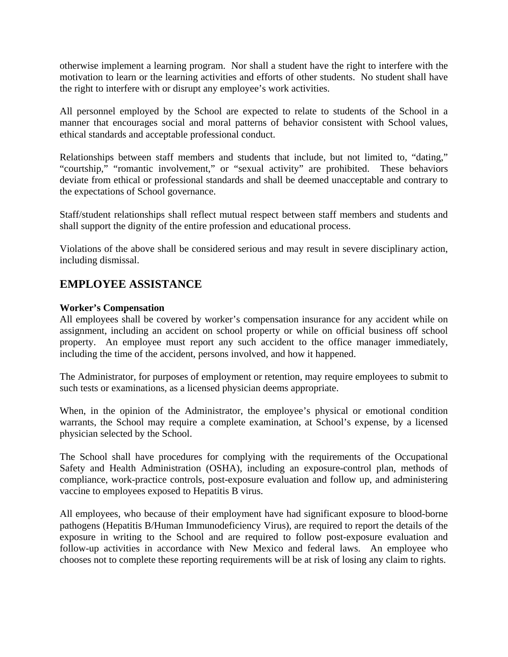otherwise implement a learning program. Nor shall a student have the right to interfere with the motivation to learn or the learning activities and efforts of other students. No student shall have the right to interfere with or disrupt any employee's work activities.

All personnel employed by the School are expected to relate to students of the School in a manner that encourages social and moral patterns of behavior consistent with School values, ethical standards and acceptable professional conduct.

Relationships between staff members and students that include, but not limited to, "dating," "courtship," "romantic involvement," or "sexual activity" are prohibited. These behaviors deviate from ethical or professional standards and shall be deemed unacceptable and contrary to the expectations of School governance.

Staff/student relationships shall reflect mutual respect between staff members and students and shall support the dignity of the entire profession and educational process.

Violations of the above shall be considered serious and may result in severe disciplinary action, including dismissal.

# **EMPLOYEE ASSISTANCE**

### **Worker's Compensation**

All employees shall be covered by worker's compensation insurance for any accident while on assignment, including an accident on school property or while on official business off school property. An employee must report any such accident to the office manager immediately, including the time of the accident, persons involved, and how it happened.

The Administrator, for purposes of employment or retention, may require employees to submit to such tests or examinations, as a licensed physician deems appropriate.

When, in the opinion of the Administrator, the employee's physical or emotional condition warrants, the School may require a complete examination, at School's expense, by a licensed physician selected by the School.

The School shall have procedures for complying with the requirements of the Occupational Safety and Health Administration (OSHA), including an exposure-control plan, methods of compliance, work-practice controls, post-exposure evaluation and follow up, and administering vaccine to employees exposed to Hepatitis B virus.

All employees, who because of their employment have had significant exposure to blood-borne pathogens (Hepatitis B/Human Immunodeficiency Virus), are required to report the details of the exposure in writing to the School and are required to follow post-exposure evaluation and follow-up activities in accordance with New Mexico and federal laws. An employee who chooses not to complete these reporting requirements will be at risk of losing any claim to rights.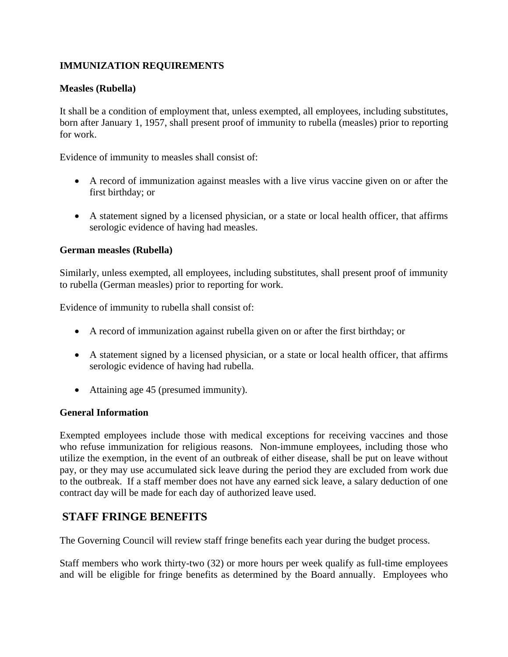# **IMMUNIZATION REQUIREMENTS**

### **Measles (Rubella)**

It shall be a condition of employment that, unless exempted, all employees, including substitutes, born after January 1, 1957, shall present proof of immunity to rubella (measles) prior to reporting for work.

Evidence of immunity to measles shall consist of:

- A record of immunization against measles with a live virus vaccine given on or after the first birthday; or
- A statement signed by a licensed physician, or a state or local health officer, that affirms serologic evidence of having had measles.

### **German measles (Rubella)**

Similarly, unless exempted, all employees, including substitutes, shall present proof of immunity to rubella (German measles) prior to reporting for work.

Evidence of immunity to rubella shall consist of:

- A record of immunization against rubella given on or after the first birthday; or
- A statement signed by a licensed physician, or a state or local health officer, that affirms serologic evidence of having had rubella.
- Attaining age 45 (presumed immunity).

### **General Information**

Exempted employees include those with medical exceptions for receiving vaccines and those who refuse immunization for religious reasons. Non-immune employees, including those who utilize the exemption, in the event of an outbreak of either disease, shall be put on leave without pay, or they may use accumulated sick leave during the period they are excluded from work due to the outbreak. If a staff member does not have any earned sick leave, a salary deduction of one contract day will be made for each day of authorized leave used.

# **STAFF FRINGE BENEFITS**

The Governing Council will review staff fringe benefits each year during the budget process.

Staff members who work thirty-two (32) or more hours per week qualify as full-time employees and will be eligible for fringe benefits as determined by the Board annually. Employees who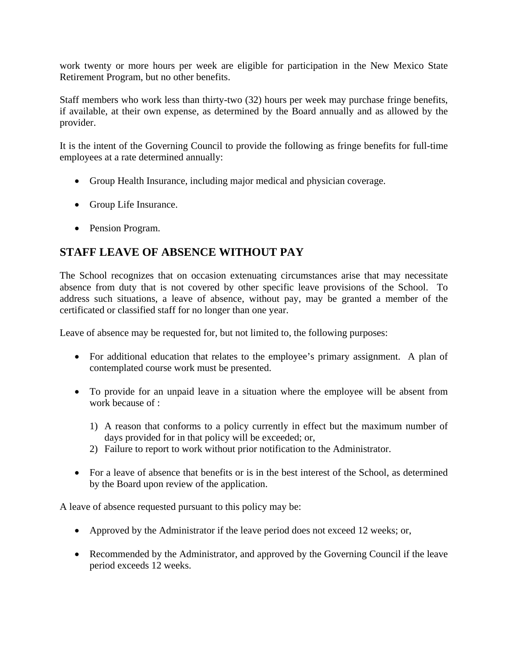work twenty or more hours per week are eligible for participation in the New Mexico State Retirement Program, but no other benefits.

Staff members who work less than thirty-two (32) hours per week may purchase fringe benefits, if available, at their own expense, as determined by the Board annually and as allowed by the provider.

It is the intent of the Governing Council to provide the following as fringe benefits for full-time employees at a rate determined annually:

- Group Health Insurance, including major medical and physician coverage.
- Group Life Insurance.
- Pension Program.

# **STAFF LEAVE OF ABSENCE WITHOUT PAY**

The School recognizes that on occasion extenuating circumstances arise that may necessitate absence from duty that is not covered by other specific leave provisions of the School. To address such situations, a leave of absence, without pay, may be granted a member of the certificated or classified staff for no longer than one year.

Leave of absence may be requested for, but not limited to, the following purposes:

- For additional education that relates to the employee's primary assignment. A plan of contemplated course work must be presented.
- To provide for an unpaid leave in a situation where the employee will be absent from work because of :
	- 1) A reason that conforms to a policy currently in effect but the maximum number of days provided for in that policy will be exceeded; or,
	- 2) Failure to report to work without prior notification to the Administrator.
- For a leave of absence that benefits or is in the best interest of the School, as determined by the Board upon review of the application.

A leave of absence requested pursuant to this policy may be:

- Approved by the Administrator if the leave period does not exceed 12 weeks; or,
- Recommended by the Administrator, and approved by the Governing Council if the leave period exceeds 12 weeks.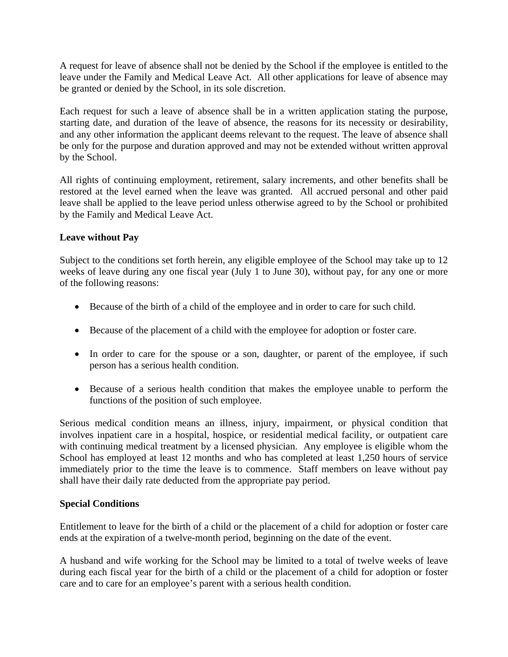A request for leave of absence shall not be denied by the School if the employee is entitled to the leave under the Family and Medical Leave Act. All other applications for leave of absence may be granted or denied by the School, in its sole discretion.

Each request for such a leave of absence shall be in a written application stating the purpose, starting date, and duration of the leave of absence, the reasons for its necessity or desirability, and any other information the applicant deems relevant to the request. The leave of absence shall be only for the purpose and duration approved and may not be extended without written approval by the School.

All rights of continuing employment, retirement, salary increments, and other benefits shall be restored at the level earned when the leave was granted. All accrued personal and other paid leave shall be applied to the leave period unless otherwise agreed to by the School or prohibited by the Family and Medical Leave Act.

# **Leave without Pay**

Subject to the conditions set forth herein, any eligible employee of the School may take up to 12 weeks of leave during any one fiscal year (July 1 to June 30), without pay, for any one or more of the following reasons:

- Because of the birth of a child of the employee and in order to care for such child.
- Because of the placement of a child with the employee for adoption or foster care.
- In order to care for the spouse or a son, daughter, or parent of the employee, if such person has a serious health condition.
- Because of a serious health condition that makes the employee unable to perform the functions of the position of such employee.

Serious medical condition means an illness, injury, impairment, or physical condition that involves inpatient care in a hospital, hospice, or residential medical facility, or outpatient care with continuing medical treatment by a licensed physician. Any employee is eligible whom the School has employed at least 12 months and who has completed at least 1,250 hours of service immediately prior to the time the leave is to commence. Staff members on leave without pay shall have their daily rate deducted from the appropriate pay period.

# **Special Conditions**

Entitlement to leave for the birth of a child or the placement of a child for adoption or foster care ends at the expiration of a twelve-month period, beginning on the date of the event.

A husband and wife working for the School may be limited to a total of twelve weeks of leave during each fiscal year for the birth of a child or the placement of a child for adoption or foster care and to care for an employee's parent with a serious health condition.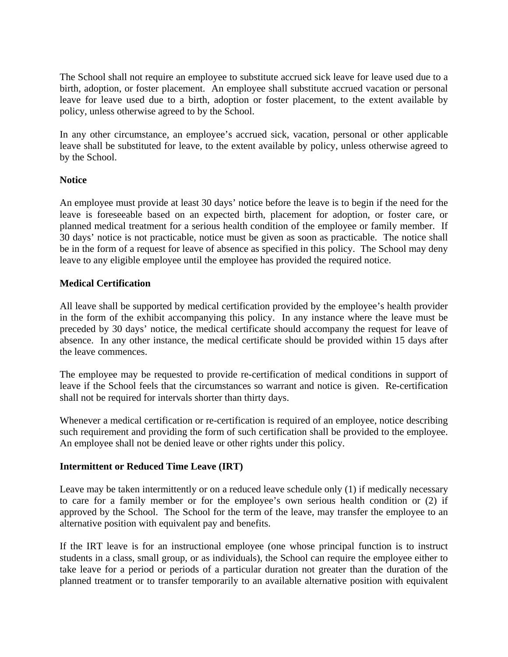The School shall not require an employee to substitute accrued sick leave for leave used due to a birth, adoption, or foster placement. An employee shall substitute accrued vacation or personal leave for leave used due to a birth, adoption or foster placement, to the extent available by policy, unless otherwise agreed to by the School.

In any other circumstance, an employee's accrued sick, vacation, personal or other applicable leave shall be substituted for leave, to the extent available by policy, unless otherwise agreed to by the School.

### **Notice**

An employee must provide at least 30 days' notice before the leave is to begin if the need for the leave is foreseeable based on an expected birth, placement for adoption, or foster care, or planned medical treatment for a serious health condition of the employee or family member. If 30 days' notice is not practicable, notice must be given as soon as practicable. The notice shall be in the form of a request for leave of absence as specified in this policy. The School may deny leave to any eligible employee until the employee has provided the required notice.

### **Medical Certification**

All leave shall be supported by medical certification provided by the employee's health provider in the form of the exhibit accompanying this policy. In any instance where the leave must be preceded by 30 days' notice, the medical certificate should accompany the request for leave of absence. In any other instance, the medical certificate should be provided within 15 days after the leave commences.

The employee may be requested to provide re-certification of medical conditions in support of leave if the School feels that the circumstances so warrant and notice is given. Re-certification shall not be required for intervals shorter than thirty days.

Whenever a medical certification or re-certification is required of an employee, notice describing such requirement and providing the form of such certification shall be provided to the employee. An employee shall not be denied leave or other rights under this policy.

### **Intermittent or Reduced Time Leave (IRT)**

Leave may be taken intermittently or on a reduced leave schedule only (1) if medically necessary to care for a family member or for the employee's own serious health condition or (2) if approved by the School. The School for the term of the leave, may transfer the employee to an alternative position with equivalent pay and benefits.

If the IRT leave is for an instructional employee (one whose principal function is to instruct students in a class, small group, or as individuals), the School can require the employee either to take leave for a period or periods of a particular duration not greater than the duration of the planned treatment or to transfer temporarily to an available alternative position with equivalent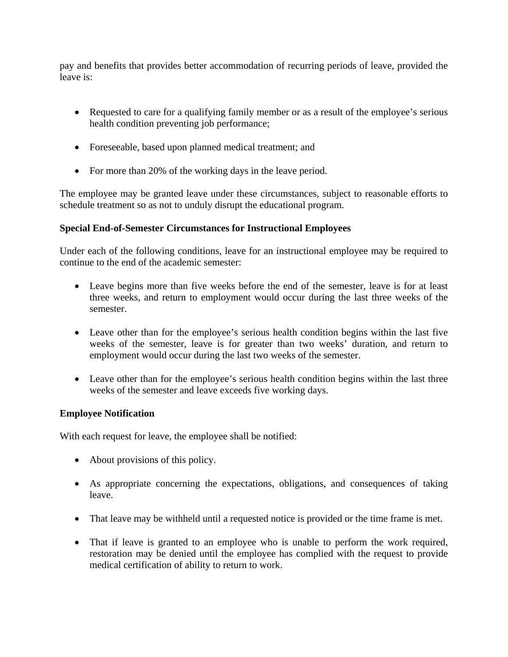pay and benefits that provides better accommodation of recurring periods of leave, provided the leave is:

- Requested to care for a qualifying family member or as a result of the employee's serious health condition preventing job performance;
- Foreseeable, based upon planned medical treatment; and
- For more than 20% of the working days in the leave period.

The employee may be granted leave under these circumstances, subject to reasonable efforts to schedule treatment so as not to unduly disrupt the educational program.

# **Special End-of-Semester Circumstances for Instructional Employees**

Under each of the following conditions, leave for an instructional employee may be required to continue to the end of the academic semester:

- Leave begins more than five weeks before the end of the semester, leave is for at least three weeks, and return to employment would occur during the last three weeks of the semester.
- Leave other than for the employee's serious health condition begins within the last five weeks of the semester, leave is for greater than two weeks' duration, and return to employment would occur during the last two weeks of the semester.
- Leave other than for the employee's serious health condition begins within the last three weeks of the semester and leave exceeds five working days.

# **Employee Notification**

With each request for leave, the employee shall be notified:

- About provisions of this policy.
- As appropriate concerning the expectations, obligations, and consequences of taking leave.
- That leave may be withheld until a requested notice is provided or the time frame is met.
- That if leave is granted to an employee who is unable to perform the work required, restoration may be denied until the employee has complied with the request to provide medical certification of ability to return to work.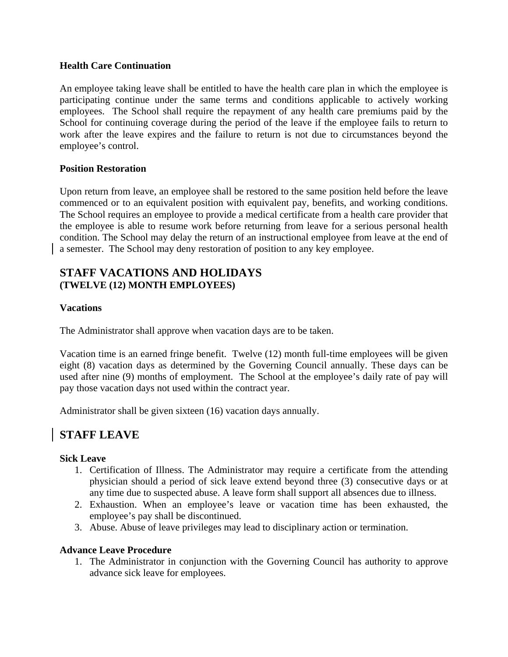### **Health Care Continuation**

An employee taking leave shall be entitled to have the health care plan in which the employee is participating continue under the same terms and conditions applicable to actively working employees. The School shall require the repayment of any health care premiums paid by the School for continuing coverage during the period of the leave if the employee fails to return to work after the leave expires and the failure to return is not due to circumstances beyond the employee's control.

### **Position Restoration**

Upon return from leave, an employee shall be restored to the same position held before the leave commenced or to an equivalent position with equivalent pay, benefits, and working conditions. The School requires an employee to provide a medical certificate from a health care provider that the employee is able to resume work before returning from leave for a serious personal health condition. The School may delay the return of an instructional employee from leave at the end of a semester. The School may deny restoration of position to any key employee.

# **STAFF VACATIONS AND HOLIDAYS (TWELVE (12) MONTH EMPLOYEES)**

### **Vacations**

The Administrator shall approve when vacation days are to be taken.

Vacation time is an earned fringe benefit. Twelve (12) month full-time employees will be given eight (8) vacation days as determined by the Governing Council annually. These days can be used after nine (9) months of employment. The School at the employee's daily rate of pay will pay those vacation days not used within the contract year.

Administrator shall be given sixteen (16) vacation days annually.

# **STAFF LEAVE**

### **Sick Leave**

- 1. Certification of Illness. The Administrator may require a certificate from the attending physician should a period of sick leave extend beyond three (3) consecutive days or at any time due to suspected abuse. A leave form shall support all absences due to illness.
- 2. Exhaustion. When an employee's leave or vacation time has been exhausted, the employee's pay shall be discontinued.
- 3. Abuse. Abuse of leave privileges may lead to disciplinary action or termination.

### **Advance Leave Procedure**

1. The Administrator in conjunction with the Governing Council has authority to approve advance sick leave for employees.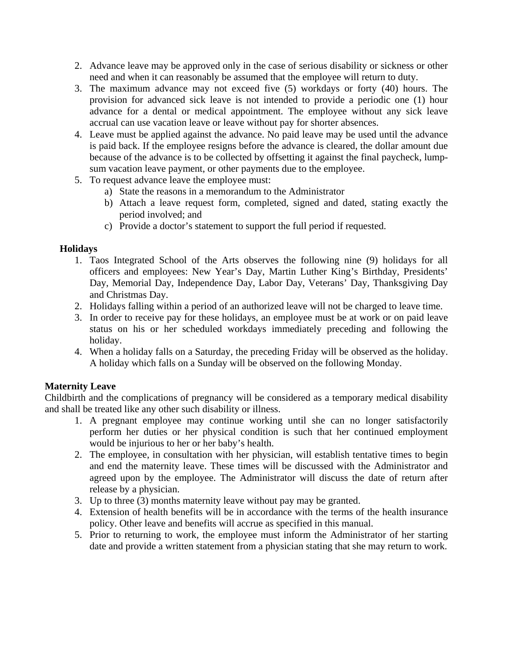- 2. Advance leave may be approved only in the case of serious disability or sickness or other need and when it can reasonably be assumed that the employee will return to duty.
- 3. The maximum advance may not exceed five (5) workdays or forty (40) hours. The provision for advanced sick leave is not intended to provide a periodic one (1) hour advance for a dental or medical appointment. The employee without any sick leave accrual can use vacation leave or leave without pay for shorter absences.
- 4. Leave must be applied against the advance. No paid leave may be used until the advance is paid back. If the employee resigns before the advance is cleared, the dollar amount due because of the advance is to be collected by offsetting it against the final paycheck, lumpsum vacation leave payment, or other payments due to the employee.
- 5. To request advance leave the employee must:
	- a) State the reasons in a memorandum to the Administrator
	- b) Attach a leave request form, completed, signed and dated, stating exactly the period involved; and
	- c) Provide a doctor's statement to support the full period if requested.

### **Holidays**

- 1. Taos Integrated School of the Arts observes the following nine (9) holidays for all officers and employees: New Year's Day, Martin Luther King's Birthday, Presidents' Day, Memorial Day, Independence Day, Labor Day, Veterans' Day, Thanksgiving Day and Christmas Day.
- 2. Holidays falling within a period of an authorized leave will not be charged to leave time.
- 3. In order to receive pay for these holidays, an employee must be at work or on paid leave status on his or her scheduled workdays immediately preceding and following the holiday.
- 4. When a holiday falls on a Saturday, the preceding Friday will be observed as the holiday. A holiday which falls on a Sunday will be observed on the following Monday.

# **Maternity Leave**

Childbirth and the complications of pregnancy will be considered as a temporary medical disability and shall be treated like any other such disability or illness.

- 1. A pregnant employee may continue working until she can no longer satisfactorily perform her duties or her physical condition is such that her continued employment would be injurious to her or her baby's health.
- 2. The employee, in consultation with her physician, will establish tentative times to begin and end the maternity leave. These times will be discussed with the Administrator and agreed upon by the employee. The Administrator will discuss the date of return after release by a physician.
- 3. Up to three (3) months maternity leave without pay may be granted.
- 4. Extension of health benefits will be in accordance with the terms of the health insurance policy. Other leave and benefits will accrue as specified in this manual.
- 5. Prior to returning to work, the employee must inform the Administrator of her starting date and provide a written statement from a physician stating that she may return to work.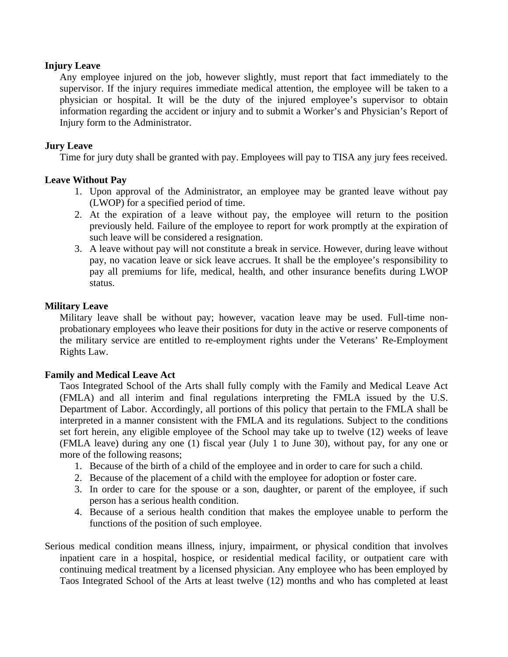### **Injury Leave**

 Any employee injured on the job, however slightly, must report that fact immediately to the supervisor. If the injury requires immediate medical attention, the employee will be taken to a physician or hospital. It will be the duty of the injured employee's supervisor to obtain information regarding the accident or injury and to submit a Worker's and Physician's Report of Injury form to the Administrator.

### **Jury Leave**

Time for jury duty shall be granted with pay. Employees will pay to TISA any jury fees received.

### **Leave Without Pay**

- 1. Upon approval of the Administrator, an employee may be granted leave without pay (LWOP) for a specified period of time.
- 2. At the expiration of a leave without pay, the employee will return to the position previously held. Failure of the employee to report for work promptly at the expiration of such leave will be considered a resignation.
- 3. A leave without pay will not constitute a break in service. However, during leave without pay, no vacation leave or sick leave accrues. It shall be the employee's responsibility to pay all premiums for life, medical, health, and other insurance benefits during LWOP status.

### **Military Leave**

 Military leave shall be without pay; however, vacation leave may be used. Full-time nonprobationary employees who leave their positions for duty in the active or reserve components of the military service are entitled to re-employment rights under the Veterans' Re-Employment Rights Law.

### **Family and Medical Leave Act**

 Taos Integrated School of the Arts shall fully comply with the Family and Medical Leave Act (FMLA) and all interim and final regulations interpreting the FMLA issued by the U.S. Department of Labor. Accordingly, all portions of this policy that pertain to the FMLA shall be interpreted in a manner consistent with the FMLA and its regulations. Subject to the conditions set fort herein, any eligible employee of the School may take up to twelve (12) weeks of leave (FMLA leave) during any one (1) fiscal year (July 1 to June 30), without pay, for any one or more of the following reasons;

- 1. Because of the birth of a child of the employee and in order to care for such a child.
- 2. Because of the placement of a child with the employee for adoption or foster care.
- 3. In order to care for the spouse or a son, daughter, or parent of the employee, if such person has a serious health condition.
- 4. Because of a serious health condition that makes the employee unable to perform the functions of the position of such employee.
- Serious medical condition means illness, injury, impairment, or physical condition that involves inpatient care in a hospital, hospice, or residential medical facility, or outpatient care with continuing medical treatment by a licensed physician. Any employee who has been employed by Taos Integrated School of the Arts at least twelve (12) months and who has completed at least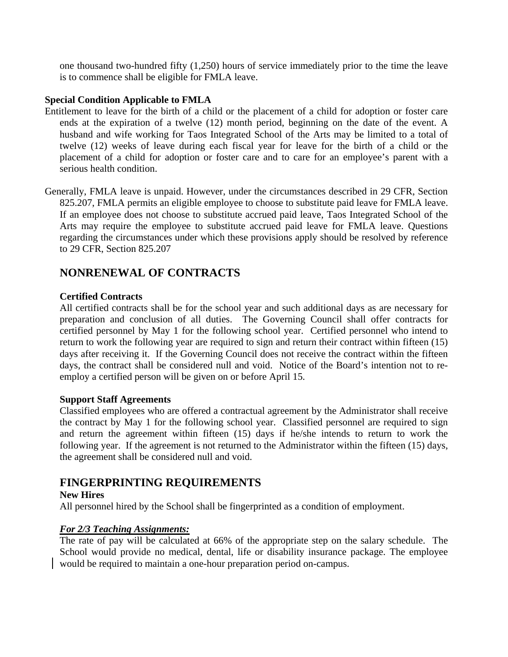one thousand two-hundred fifty (1,250) hours of service immediately prior to the time the leave is to commence shall be eligible for FMLA leave.

### **Special Condition Applicable to FMLA**

- Entitlement to leave for the birth of a child or the placement of a child for adoption or foster care ends at the expiration of a twelve (12) month period, beginning on the date of the event. A husband and wife working for Taos Integrated School of the Arts may be limited to a total of twelve (12) weeks of leave during each fiscal year for leave for the birth of a child or the placement of a child for adoption or foster care and to care for an employee's parent with a serious health condition.
- Generally, FMLA leave is unpaid. However, under the circumstances described in 29 CFR, Section 825.207, FMLA permits an eligible employee to choose to substitute paid leave for FMLA leave. If an employee does not choose to substitute accrued paid leave, Taos Integrated School of the Arts may require the employee to substitute accrued paid leave for FMLA leave. Questions regarding the circumstances under which these provisions apply should be resolved by reference to 29 CFR, Section 825.207

# **NONRENEWAL OF CONTRACTS**

### **Certified Contracts**

All certified contracts shall be for the school year and such additional days as are necessary for preparation and conclusion of all duties. The Governing Council shall offer contracts for certified personnel by May 1 for the following school year. Certified personnel who intend to return to work the following year are required to sign and return their contract within fifteen (15) days after receiving it. If the Governing Council does not receive the contract within the fifteen days, the contract shall be considered null and void. Notice of the Board's intention not to reemploy a certified person will be given on or before April 15.

### **Support Staff Agreements**

Classified employees who are offered a contractual agreement by the Administrator shall receive the contract by May 1 for the following school year. Classified personnel are required to sign and return the agreement within fifteen (15) days if he/she intends to return to work the following year. If the agreement is not returned to the Administrator within the fifteen (15) days, the agreement shall be considered null and void.

# **FINGERPRINTING REQUIREMENTS**

# **New Hires**

All personnel hired by the School shall be fingerprinted as a condition of employment.

# *For 2/3 Teaching Assignments:*

The rate of pay will be calculated at 66% of the appropriate step on the salary schedule. The School would provide no medical, dental, life or disability insurance package. The employee would be required to maintain a one-hour preparation period on-campus.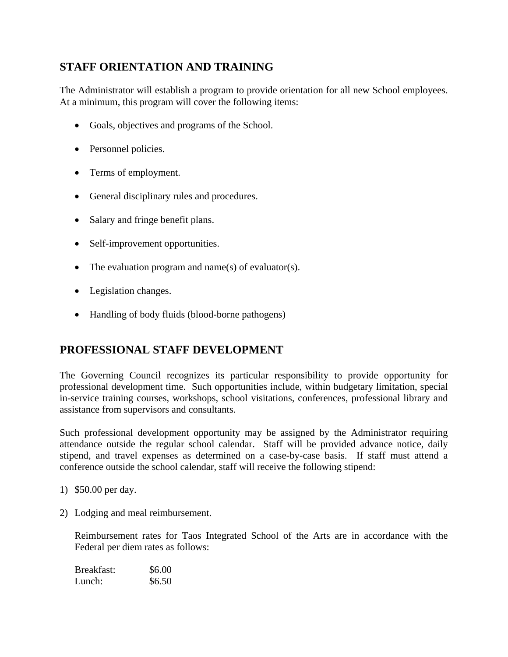# **STAFF ORIENTATION AND TRAINING**

The Administrator will establish a program to provide orientation for all new School employees. At a minimum, this program will cover the following items:

- Goals, objectives and programs of the School.
- Personnel policies.
- Terms of employment.
- General disciplinary rules and procedures.
- Salary and fringe benefit plans.
- Self-improvement opportunities.
- The evaluation program and name(s) of evaluator(s).
- Legislation changes.
- Handling of body fluids (blood-borne pathogens)

# **PROFESSIONAL STAFF DEVELOPMENT**

The Governing Council recognizes its particular responsibility to provide opportunity for professional development time. Such opportunities include, within budgetary limitation, special in-service training courses, workshops, school visitations, conferences, professional library and assistance from supervisors and consultants.

Such professional development opportunity may be assigned by the Administrator requiring attendance outside the regular school calendar. Staff will be provided advance notice, daily stipend, and travel expenses as determined on a case-by-case basis. If staff must attend a conference outside the school calendar, staff will receive the following stipend:

- 1) \$50.00 per day.
- 2) Lodging and meal reimbursement.

Reimbursement rates for Taos Integrated School of the Arts are in accordance with the Federal per diem rates as follows:

| Breakfast: | \$6.00 |
|------------|--------|
| Lunch:     | \$6.50 |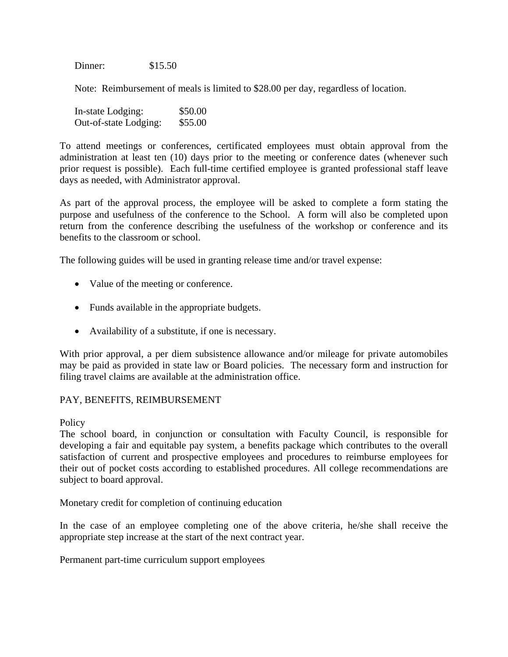Dinner: \$15.50

Note: Reimbursement of meals is limited to \$28.00 per day, regardless of location.

| In-state Lodging:     | \$50.00 |
|-----------------------|---------|
| Out-of-state Lodging: | \$55.00 |

To attend meetings or conferences, certificated employees must obtain approval from the administration at least ten (10) days prior to the meeting or conference dates (whenever such prior request is possible). Each full-time certified employee is granted professional staff leave days as needed, with Administrator approval.

As part of the approval process, the employee will be asked to complete a form stating the purpose and usefulness of the conference to the School. A form will also be completed upon return from the conference describing the usefulness of the workshop or conference and its benefits to the classroom or school.

The following guides will be used in granting release time and/or travel expense:

- Value of the meeting or conference.
- Funds available in the appropriate budgets.
- Availability of a substitute, if one is necessary.

With prior approval, a per diem subsistence allowance and/or mileage for private automobiles may be paid as provided in state law or Board policies. The necessary form and instruction for filing travel claims are available at the administration office.

### PAY, BENEFITS, REIMBURSEMENT

**Policy** 

The school board, in conjunction or consultation with Faculty Council, is responsible for developing a fair and equitable pay system, a benefits package which contributes to the overall satisfaction of current and prospective employees and procedures to reimburse employees for their out of pocket costs according to established procedures. All college recommendations are subject to board approval.

Monetary credit for completion of continuing education

In the case of an employee completing one of the above criteria, he/she shall receive the appropriate step increase at the start of the next contract year.

Permanent part-time curriculum support employees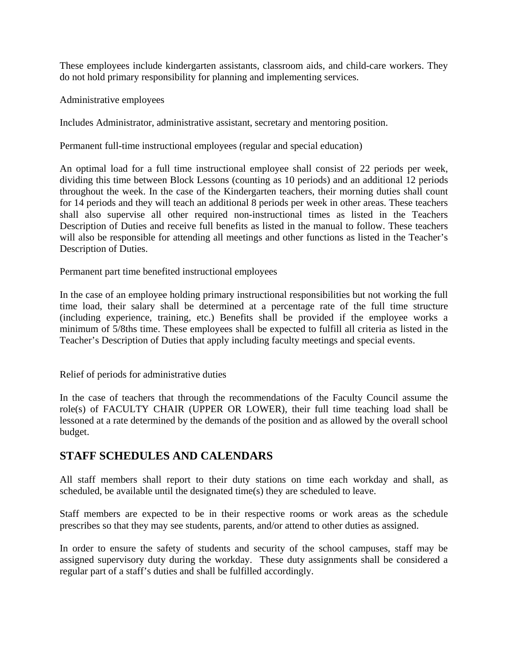These employees include kindergarten assistants, classroom aids, and child-care workers. They do not hold primary responsibility for planning and implementing services.

Administrative employees

Includes Administrator, administrative assistant, secretary and mentoring position.

Permanent full-time instructional employees (regular and special education)

An optimal load for a full time instructional employee shall consist of 22 periods per week, dividing this time between Block Lessons (counting as 10 periods) and an additional 12 periods throughout the week. In the case of the Kindergarten teachers, their morning duties shall count for 14 periods and they will teach an additional 8 periods per week in other areas. These teachers shall also supervise all other required non-instructional times as listed in the Teachers Description of Duties and receive full benefits as listed in the manual to follow. These teachers will also be responsible for attending all meetings and other functions as listed in the Teacher's Description of Duties.

Permanent part time benefited instructional employees

In the case of an employee holding primary instructional responsibilities but not working the full time load, their salary shall be determined at a percentage rate of the full time structure (including experience, training, etc.) Benefits shall be provided if the employee works a minimum of 5/8ths time. These employees shall be expected to fulfill all criteria as listed in the Teacher's Description of Duties that apply including faculty meetings and special events.

Relief of periods for administrative duties

In the case of teachers that through the recommendations of the Faculty Council assume the role(s) of FACULTY CHAIR (UPPER OR LOWER), their full time teaching load shall be lessoned at a rate determined by the demands of the position and as allowed by the overall school budget.

# **STAFF SCHEDULES AND CALENDARS**

All staff members shall report to their duty stations on time each workday and shall, as scheduled, be available until the designated time(s) they are scheduled to leave.

Staff members are expected to be in their respective rooms or work areas as the schedule prescribes so that they may see students, parents, and/or attend to other duties as assigned.

In order to ensure the safety of students and security of the school campuses, staff may be assigned supervisory duty during the workday. These duty assignments shall be considered a regular part of a staff's duties and shall be fulfilled accordingly.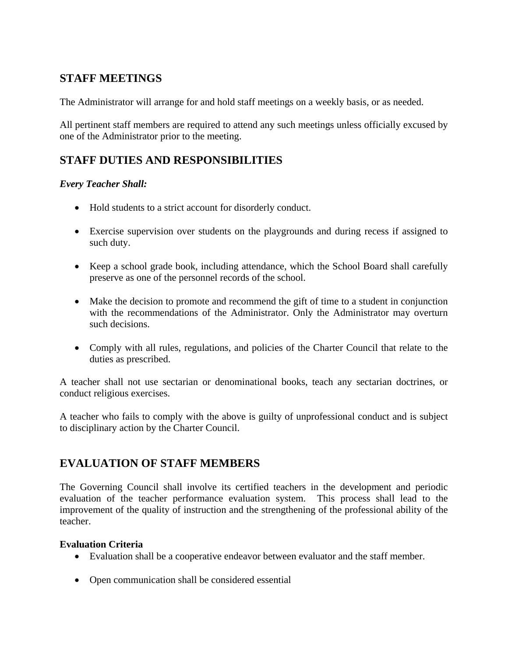# **STAFF MEETINGS**

The Administrator will arrange for and hold staff meetings on a weekly basis, or as needed.

All pertinent staff members are required to attend any such meetings unless officially excused by one of the Administrator prior to the meeting.

# **STAFF DUTIES AND RESPONSIBILITIES**

# *Every Teacher Shall:*

- Hold students to a strict account for disorderly conduct.
- Exercise supervision over students on the playgrounds and during recess if assigned to such duty.
- Keep a school grade book, including attendance, which the School Board shall carefully preserve as one of the personnel records of the school.
- Make the decision to promote and recommend the gift of time to a student in conjunction with the recommendations of the Administrator. Only the Administrator may overturn such decisions.
- Comply with all rules, regulations, and policies of the Charter Council that relate to the duties as prescribed.

A teacher shall not use sectarian or denominational books, teach any sectarian doctrines, or conduct religious exercises.

A teacher who fails to comply with the above is guilty of unprofessional conduct and is subject to disciplinary action by the Charter Council.

# **EVALUATION OF STAFF MEMBERS**

The Governing Council shall involve its certified teachers in the development and periodic evaluation of the teacher performance evaluation system. This process shall lead to the improvement of the quality of instruction and the strengthening of the professional ability of the teacher.

# **Evaluation Criteria**

- Evaluation shall be a cooperative endeavor between evaluator and the staff member.
- Open communication shall be considered essential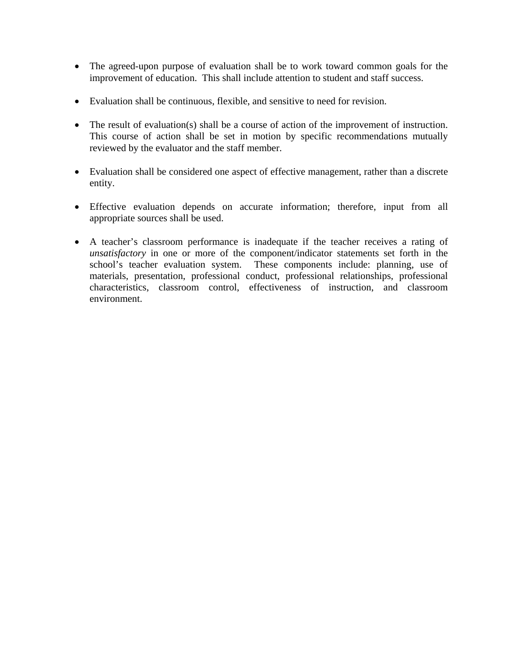- The agreed-upon purpose of evaluation shall be to work toward common goals for the improvement of education. This shall include attention to student and staff success.
- Evaluation shall be continuous, flexible, and sensitive to need for revision.
- The result of evaluation(s) shall be a course of action of the improvement of instruction. This course of action shall be set in motion by specific recommendations mutually reviewed by the evaluator and the staff member.
- Evaluation shall be considered one aspect of effective management, rather than a discrete entity.
- Effective evaluation depends on accurate information; therefore, input from all appropriate sources shall be used.
- A teacher's classroom performance is inadequate if the teacher receives a rating of *unsatisfactory* in one or more of the component/indicator statements set forth in the school's teacher evaluation system. These components include: planning, use of materials, presentation, professional conduct, professional relationships, professional characteristics, classroom control, effectiveness of instruction, and classroom environment.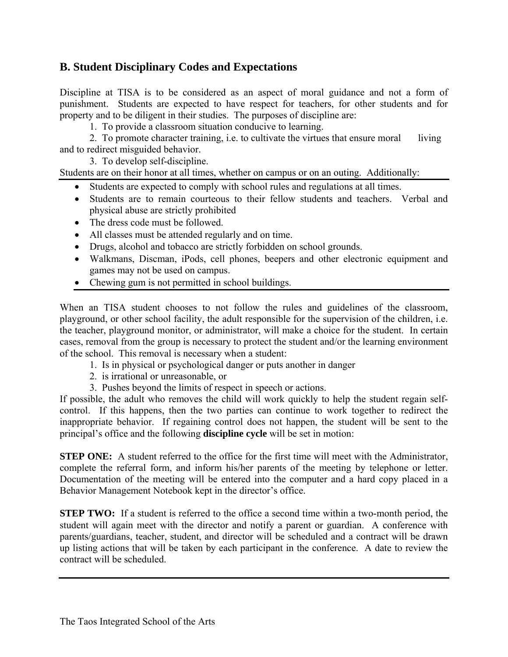# **B. Student Disciplinary Codes and Expectations**

Discipline at TISA is to be considered as an aspect of moral guidance and not a form of punishment. Students are expected to have respect for teachers, for other students and for property and to be diligent in their studies. The purposes of discipline are:

1. To provide a classroom situation conducive to learning.

2. To promote character training, i.e. to cultivate the virtues that ensure moral living and to redirect misguided behavior.

3. To develop self-discipline.

Students are on their honor at all times, whether on campus or on an outing. Additionally:

- Students are expected to comply with school rules and regulations at all times.
- Students are to remain courteous to their fellow students and teachers. Verbal and physical abuse are strictly prohibited
- The dress code must be followed.
- All classes must be attended regularly and on time.
- Drugs, alcohol and tobacco are strictly forbidden on school grounds.
- Walkmans, Discman, iPods, cell phones, beepers and other electronic equipment and games may not be used on campus.
- Chewing gum is not permitted in school buildings.

When an TISA student chooses to not follow the rules and guidelines of the classroom, playground, or other school facility, the adult responsible for the supervision of the children, i.e. the teacher, playground monitor, or administrator, will make a choice for the student. In certain cases, removal from the group is necessary to protect the student and/or the learning environment of the school. This removal is necessary when a student:

- 1. Is in physical or psychological danger or puts another in danger
- 2. is irrational or unreasonable, or
- 3. Pushes beyond the limits of respect in speech or actions.

If possible, the adult who removes the child will work quickly to help the student regain selfcontrol. If this happens, then the two parties can continue to work together to redirect the inappropriate behavior. If regaining control does not happen, the student will be sent to the principal's office and the following **discipline cycle** will be set in motion:

**STEP ONE:** A student referred to the office for the first time will meet with the Administrator, complete the referral form, and inform his/her parents of the meeting by telephone or letter. Documentation of the meeting will be entered into the computer and a hard copy placed in a Behavior Management Notebook kept in the director's office.

**STEP TWO:** If a student is referred to the office a second time within a two-month period, the student will again meet with the director and notify a parent or guardian. A conference with parents/guardians, teacher, student, and director will be scheduled and a contract will be drawn up listing actions that will be taken by each participant in the conference. A date to review the contract will be scheduled.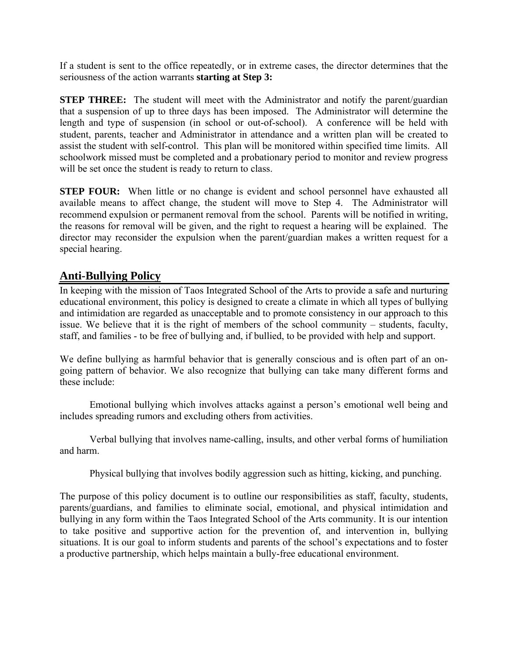If a student is sent to the office repeatedly, or in extreme cases, the director determines that the seriousness of the action warrants **starting at Step 3:** 

**STEP THREE:** The student will meet with the Administrator and notify the parent/guardian that a suspension of up to three days has been imposed. The Administrator will determine the length and type of suspension (in school or out-of-school). A conference will be held with student, parents, teacher and Administrator in attendance and a written plan will be created to assist the student with self-control. This plan will be monitored within specified time limits. All schoolwork missed must be completed and a probationary period to monitor and review progress will be set once the student is ready to return to class.

**STEP FOUR:** When little or no change is evident and school personnel have exhausted all available means to affect change, the student will move to Step 4. The Administrator will recommend expulsion or permanent removal from the school. Parents will be notified in writing, the reasons for removal will be given, and the right to request a hearing will be explained. The director may reconsider the expulsion when the parent/guardian makes a written request for a special hearing.

# **Anti-Bullying Policy**

In keeping with the mission of Taos Integrated School of the Arts to provide a safe and nurturing educational environment, this policy is designed to create a climate in which all types of bullying and intimidation are regarded as unacceptable and to promote consistency in our approach to this issue. We believe that it is the right of members of the school community – students, faculty, staff, and families - to be free of bullying and, if bullied, to be provided with help and support.

We define bullying as harmful behavior that is generally conscious and is often part of an ongoing pattern of behavior. We also recognize that bullying can take many different forms and these include:

 Emotional bullying which involves attacks against a person's emotional well being and includes spreading rumors and excluding others from activities.

 Verbal bullying that involves name-calling, insults, and other verbal forms of humiliation and harm.

Physical bullying that involves bodily aggression such as hitting, kicking, and punching.

The purpose of this policy document is to outline our responsibilities as staff, faculty, students, parents/guardians, and families to eliminate social, emotional, and physical intimidation and bullying in any form within the Taos Integrated School of the Arts community. It is our intention to take positive and supportive action for the prevention of, and intervention in, bullying situations. It is our goal to inform students and parents of the school's expectations and to foster a productive partnership, which helps maintain a bully-free educational environment.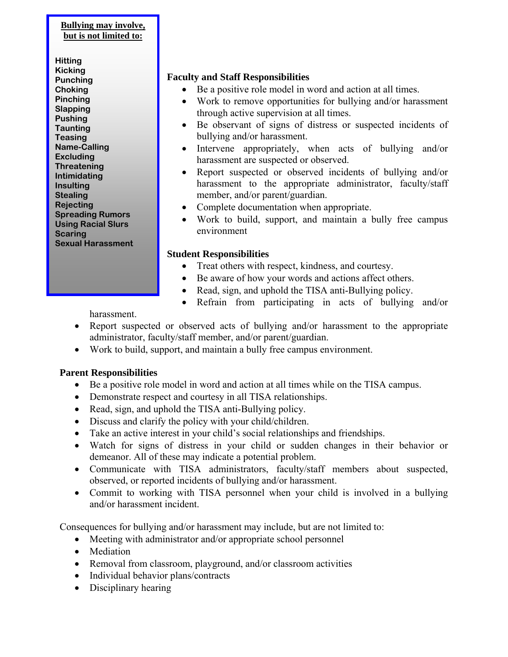### **Bullying may involve, but is not limited to:**

**Hitting Kicking Punching Choking Pinching Slapping Pushing Taunting Teasing Name-Calling Excluding Threatening Intimidating Insulting Stealing Rejecting Spreading Rumors Using Racial Slurs Scaring Sexual Harassment** 

# **Faculty and Staff Responsibilities**

- Be a positive role model in word and action at all times.
- Work to remove opportunities for bullying and/or harassment through active supervision at all times.
- Be observant of signs of distress or suspected incidents of bullying and/or harassment.
- Intervene appropriately, when acts of bullying and/or harassment are suspected or observed.
- Report suspected or observed incidents of bullying and/or harassment to the appropriate administrator, faculty/staff member, and/or parent/guardian.
- Complete documentation when appropriate.
- Work to build, support, and maintain a bully free campus environment

# **Student Responsibilities**

- Treat others with respect, kindness, and courtesy.
- Be aware of how your words and actions affect others.
- Read, sign, and uphold the TISA anti-Bullying policy.
- Refrain from participating in acts of bullying and/or

harassment.

- Report suspected or observed acts of bullying and/or harassment to the appropriate administrator, faculty/staff member, and/or parent/guardian.
- Work to build, support, and maintain a bully free campus environment.

# **Parent Responsibilities**

- Be a positive role model in word and action at all times while on the TISA campus.
- Demonstrate respect and courtesy in all TISA relationships.
- Read, sign, and uphold the TISA anti-Bullying policy.
- Discuss and clarify the policy with your child/children.
- Take an active interest in your child's social relationships and friendships.
- Watch for signs of distress in your child or sudden changes in their behavior or demeanor. All of these may indicate a potential problem.
- Communicate with TISA administrators, faculty/staff members about suspected, observed, or reported incidents of bullying and/or harassment.
- Commit to working with TISA personnel when your child is involved in a bullying and/or harassment incident.

Consequences for bullying and/or harassment may include, but are not limited to:

- Meeting with administrator and/or appropriate school personnel
- Mediation
- Removal from classroom, playground, and/or classroom activities
- Individual behavior plans/contracts
- Disciplinary hearing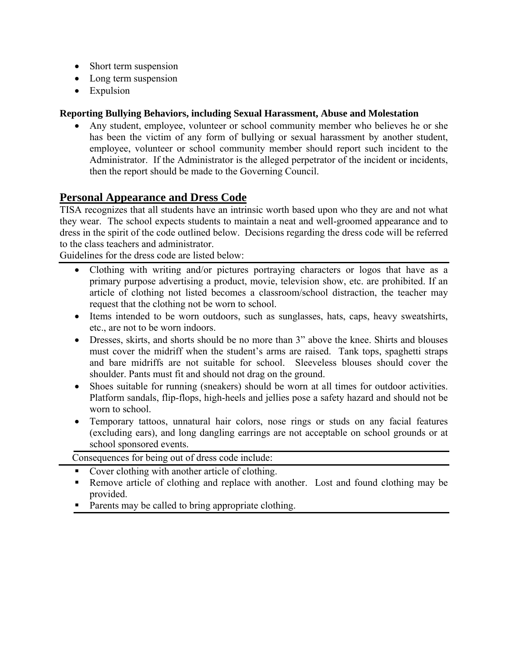- Short term suspension
- Long term suspension
- Expulsion

# **Reporting Bullying Behaviors, including Sexual Harassment, Abuse and Molestation**

• Any student, employee, volunteer or school community member who believes he or she has been the victim of any form of bullying or sexual harassment by another student, employee, volunteer or school community member should report such incident to the Administrator. If the Administrator is the alleged perpetrator of the incident or incidents, then the report should be made to the Governing Council.

# **Personal Appearance and Dress Code**

TISA recognizes that all students have an intrinsic worth based upon who they are and not what they wear. The school expects students to maintain a neat and well-groomed appearance and to dress in the spirit of the code outlined below. Decisions regarding the dress code will be referred to the class teachers and administrator. Guidelines for the dress code are listed below:

- Clothing with writing and/or pictures portraying characters or logos that have as a primary purpose advertising a product, movie, television show, etc. are prohibited. If an article of clothing not listed becomes a classroom/school distraction, the teacher may request that the clothing not be worn to school.
- Items intended to be worn outdoors, such as sunglasses, hats, caps, heavy sweatshirts, etc., are not to be worn indoors.
- Dresses, skirts, and shorts should be no more than 3" above the knee. Shirts and blouses must cover the midriff when the student's arms are raised. Tank tops, spaghetti straps and bare midriffs are not suitable for school. Sleeveless blouses should cover the shoulder. Pants must fit and should not drag on the ground.
- Shoes suitable for running (sneakers) should be worn at all times for outdoor activities. Platform sandals, flip-flops, high-heels and jellies pose a safety hazard and should not be worn to school.
- Temporary tattoos, unnatural hair colors, nose rings or studs on any facial features (excluding ears), and long dangling earrings are not acceptable on school grounds or at school sponsored events.

Consequences for being out of dress code include:

- Cover clothing with another article of clothing.
- Remove article of clothing and replace with another. Lost and found clothing may be provided.
- Parents may be called to bring appropriate clothing.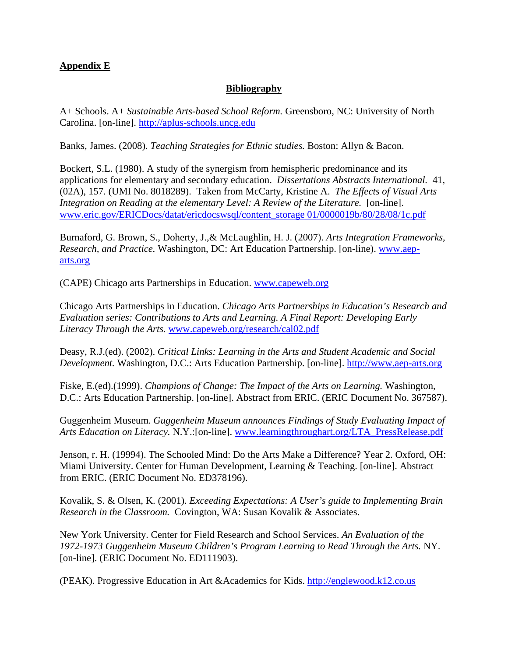# **Appendix E**

# **Bibliography**

A+ Schools. A+ *Sustainable Arts-based School Reform.* Greensboro, NC: University of North Carolina. [on-line]. [http://aplus-schools.uncg.edu](http://aplus-schools.uncg.edu/)

Banks, James. (2008). *Teaching Strategies for Ethnic studies.* Boston: Allyn & Bacon.

Bockert, S.L. (1980). A study of the synergism from hemispheric predominance and its applications for elementary and secondary education. *Dissertations Abstracts International.* 41, (02A), 157. (UMI No. 8018289). Taken from McCarty, Kristine A. *The Effects of Visual Arts Integration on Reading at the elementary Level: A Review of the Literature.* [on-line]. [www.eric.gov/ERICDocs/datat/ericdocswsql/content\\_storage 01/0000019b/80/28/08/1c.pdf](http://www.eric.gov/ERICDocs/datat/ericdocswsql/content_storage%2001/0000019b/80/28/08/1c.pdf)

Burnaford, G. Brown, S., Doherty, J.,& McLaughlin, H. J. (2007). *Arts Integration Frameworks, Research, and Practice.* Washington, DC: Art Education Partnership. [on-line). [www.aep](http://www.aep-arts.org/)[arts.org](http://www.aep-arts.org/)

(CAPE) Chicago arts Partnerships in Education. [www.capeweb.org](http://www.capeweb.org/)

Chicago Arts Partnerships in Education. *Chicago Arts Partnerships in Education's Research and Evaluation series: Contributions to Arts and Learning. A Final Report: Developing Early Literacy Through the Arts.* [www.capeweb.org/research/cal02.pdf](http://www.capeweb.org/research/cal02.pdf)

Deasy, R.J.(ed). (2002). *Critical Links: Learning in the Arts and Student Academic and Social Development.* Washington, D.C.: Arts Education Partnership. [on-line]. [http://www.aep-arts.org](http://www.aep-arts.org/)

Fiske, E.(ed).(1999). *Champions of Change: The Impact of the Arts on Learning.* Washington, D.C.: Arts Education Partnership. [on-line]. Abstract from ERIC. (ERIC Document No. 367587).

Guggenheim Museum. *Guggenheim Museum announces Findings of Study Evaluating Impact of Arts Education on Literacy.* N.Y.:[on-line]. [www.learningthroughart.org/LTA\\_PressRelease.pdf](http://www.learningthroughart.org/LTA_PressRelease.pdf)

Jenson, r. H. (19994). The Schooled Mind: Do the Arts Make a Difference? Year 2. Oxford, OH: Miami University. Center for Human Development, Learning & Teaching. [on-line]. Abstract from ERIC. (ERIC Document No. ED378196).

Kovalik, S. & Olsen, K. (2001). *Exceeding Expectations: A User's guide to Implementing Brain Research in the Classroom.* Covington, WA: Susan Kovalik & Associates.

New York University. Center for Field Research and School Services. *An Evaluation of the 1972-1973 Guggenheim Museum Children's Program Learning to Read Through the Arts.* NY. [on-line]. (ERIC Document No. ED111903).

(PEAK). Progressive Education in Art &Academics for Kids. [http://englewood.k12.co.us](http://englewood.k12.co.us/)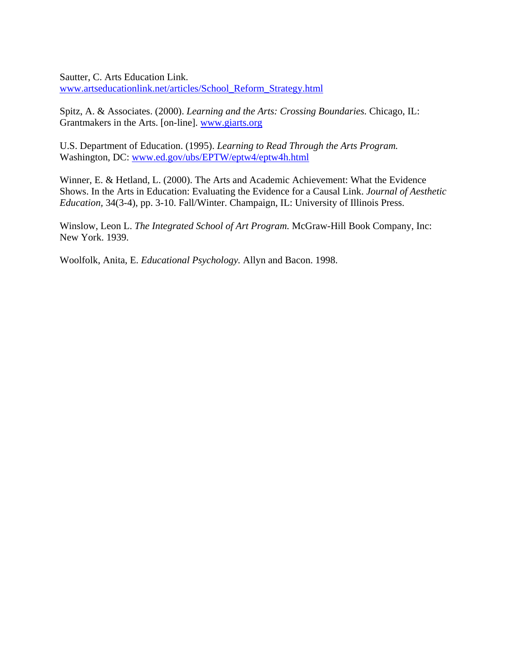Sautter, C. Arts Education Link. [www.artseducationlink.net/articles/School\\_Reform\\_Strategy.html](http://www.artseducationlink.net/articles/School_Reform_Strategy.html)

Spitz, A. & Associates. (2000). *Learning and the Arts: Crossing Boundaries.* Chicago, IL: Grantmakers in the Arts. [on-line]. [www.giarts.org](http://www.giarts.org/)

U.S. Department of Education. (1995). *Learning to Read Through the Arts Program.*  Washington, DC: [www.ed.gov/ubs/EPTW/eptw4/eptw4h.html](http://www.ed.gov/ubs/EPTW/eptw4/eptw4h.html)

Winner, E. & Hetland, L. (2000). The Arts and Academic Achievement: What the Evidence Shows. In the Arts in Education: Evaluating the Evidence for a Causal Link. *Journal of Aesthetic Education,* 34(3-4), pp. 3-10. Fall/Winter. Champaign, IL: University of Illinois Press.

Winslow, Leon L. *The Integrated School of Art Program.* McGraw-Hill Book Company, Inc: New York. 1939.

Woolfolk, Anita, E. *Educational Psychology.* Allyn and Bacon. 1998.